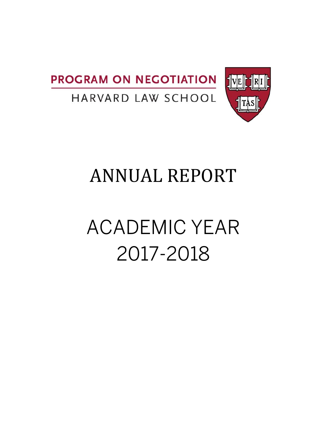



# HARVARD LAW SCHOOL

# **ANNUAL REPORT**

# ACADEMIC YEAR 2017-2018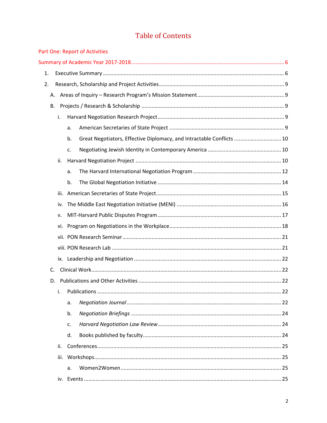# **Table of Contents**

|    |      |    | Part One: Report of Activities                                        |  |
|----|------|----|-----------------------------------------------------------------------|--|
|    |      |    |                                                                       |  |
| 1. |      |    |                                                                       |  |
| 2. |      |    |                                                                       |  |
| А. |      |    |                                                                       |  |
| В. |      |    |                                                                       |  |
|    | i.   |    |                                                                       |  |
|    |      | a. |                                                                       |  |
|    |      | b. | Great Negotiators, Effective Diplomacy, and Intractable Conflicts  10 |  |
|    |      | c. |                                                                       |  |
|    | ii.  |    |                                                                       |  |
|    |      | a. |                                                                       |  |
|    |      | b. |                                                                       |  |
|    | iii. |    |                                                                       |  |
|    | iv.  |    |                                                                       |  |
|    | v.   |    |                                                                       |  |
|    | vi.  |    |                                                                       |  |
|    |      |    |                                                                       |  |
|    |      |    |                                                                       |  |
|    |      |    |                                                                       |  |
| C. |      |    |                                                                       |  |
|    | D.   |    |                                                                       |  |
|    | i.   |    |                                                                       |  |
|    |      | a. |                                                                       |  |
|    |      | b. |                                                                       |  |
|    |      | c. |                                                                       |  |
|    |      | d. |                                                                       |  |
|    | ii.  |    |                                                                       |  |
|    | iii. |    |                                                                       |  |
|    |      | a. |                                                                       |  |
|    |      |    |                                                                       |  |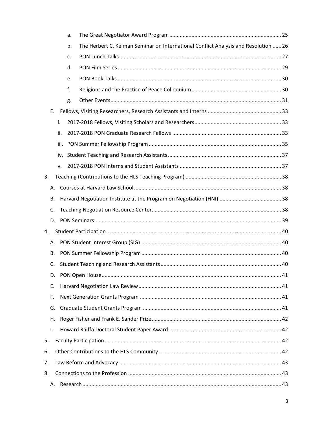|    |      | a. |                                                                                     |  |
|----|------|----|-------------------------------------------------------------------------------------|--|
|    |      | b. | The Herbert C. Kelman Seminar on International Conflict Analysis and Resolution  26 |  |
|    |      | c. |                                                                                     |  |
|    |      | d. |                                                                                     |  |
|    |      | e. |                                                                                     |  |
|    |      | f. |                                                                                     |  |
|    |      | g. |                                                                                     |  |
| Е. |      |    |                                                                                     |  |
|    | i.   |    |                                                                                     |  |
|    | ii.  |    |                                                                                     |  |
|    | iii. |    |                                                                                     |  |
|    | iv.  |    |                                                                                     |  |
|    | v.   |    |                                                                                     |  |
| 3. |      |    |                                                                                     |  |
| А. |      |    |                                                                                     |  |
| В. |      |    |                                                                                     |  |
| C. |      |    |                                                                                     |  |
| D. |      |    |                                                                                     |  |
| 4. |      |    |                                                                                     |  |
| А. |      |    |                                                                                     |  |
| В. |      |    |                                                                                     |  |
| C. |      |    |                                                                                     |  |
| D. |      |    |                                                                                     |  |
| Ε. |      |    |                                                                                     |  |
| F. |      |    |                                                                                     |  |
| G. |      |    |                                                                                     |  |
| Η. |      |    |                                                                                     |  |
| Τ. |      |    |                                                                                     |  |
| 5. |      |    |                                                                                     |  |
| 6. |      |    |                                                                                     |  |
| 7. |      |    |                                                                                     |  |
| 8. |      |    |                                                                                     |  |
| А. |      |    |                                                                                     |  |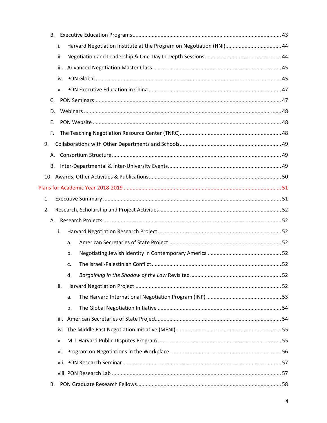| B.      |      |    |  |
|---------|------|----|--|
|         | i.   |    |  |
|         | ii.  |    |  |
|         | iii. |    |  |
|         |      |    |  |
|         | v.   |    |  |
| $C_{1}$ |      |    |  |
| D.      |      |    |  |
| Ε.      |      |    |  |
| F.      |      |    |  |
| 9.      |      |    |  |
| А.      |      |    |  |
| В.      |      |    |  |
|         |      |    |  |
|         |      |    |  |
| 1.      |      |    |  |
| 2.      |      |    |  |
|         |      |    |  |
|         | i.   |    |  |
|         |      | a. |  |
|         |      | b. |  |
|         |      | c. |  |
|         |      | d. |  |
|         | ii.  |    |  |
|         |      | a. |  |
|         |      | b. |  |
|         | iii. |    |  |
|         | iv.  |    |  |
|         | v.   |    |  |
|         | vi.  |    |  |
|         |      |    |  |
|         |      |    |  |
| В.      |      |    |  |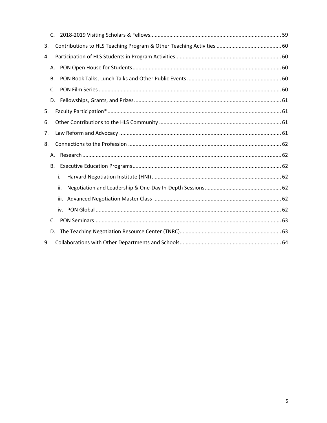| 3.        |     |  |
|-----------|-----|--|
| 4.        |     |  |
| А.        |     |  |
| В.        |     |  |
| C.        |     |  |
|           |     |  |
| 5.        |     |  |
| 6.        |     |  |
| 7.        |     |  |
| 8.        |     |  |
| А.        |     |  |
| <b>B.</b> |     |  |
|           | i.  |  |
|           | ii. |  |
|           |     |  |
|           |     |  |
| C.        |     |  |
| D.        |     |  |
| 9.        |     |  |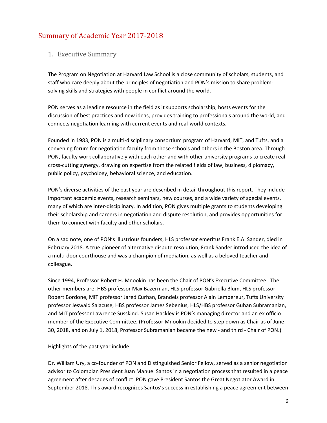# Summary of Academic Year 2017-2018

#### 1. Executive Summary

The Program on Negotiation at Harvard Law School is a close community of scholars, students, and staff who care deeply about the principles of negotiation and PON's mission to share problem‐ solving skills and strategies with people in conflict around the world.

PON serves as a leading resource in the field as it supports scholarship, hosts events for the discussion of best practices and new ideas, provides training to professionals around the world, and connects negotiation learning with current events and real‐world contexts.

Founded in 1983, PON is a multi‐disciplinary consortium program of Harvard, MIT, and Tufts, and a convening forum for negotiation faculty from those schools and others in the Boston area. Through PON, faculty work collaboratively with each other and with other university programs to create real cross‐cutting synergy, drawing on expertise from the related fields of law, business, diplomacy, public policy, psychology, behavioral science, and education.

PON's diverse activities of the past year are described in detail throughout this report. They include important academic events, research seminars, new courses, and a wide variety of special events, many of which are inter‐disciplinary. In addition, PON gives multiple grants to students developing their scholarship and careers in negotiation and dispute resolution, and provides opportunities for them to connect with faculty and other scholars.

On a sad note, one of PON's illustrious founders, HLS professor emeritus Frank E.A. Sander, died in February 2018. A true pioneer of alternative dispute resolution, Frank Sander introduced the idea of a multi-door courthouse and was a champion of mediation, as well as a beloved teacher and colleague.

Since 1994, Professor Robert H. Mnookin has been the Chair of PON's Executive Committee. The other members are: HBS professor Max Bazerman, HLS professor Gabriella Blum, HLS professor Robert Bordone, MIT professor Jared Curhan, Brandeis professor Alain Lempereur, Tufts University professor Jeswald Salacuse, HBS professor James Sebenius, HLS/HBS professor Guhan Subramanian, and MIT professor Lawrence Susskind. Susan Hackley is PON's managing director and an ex officio member of the Executive Committee. (Professor Mnookin decided to step down as Chair as of June 30, 2018, and on July 1, 2018, Professor Subramanian became the new ‐ and third ‐ Chair of PON.)

Highlights of the past year include:

Dr. William Ury, a co-founder of PON and Distinguished Senior Fellow, served as a senior negotiation advisor to Colombian President Juan Manuel Santos in a negotiation process that resulted in a peace agreement after decades of conflict. PON gave President Santos the Great Negotiator Award in September 2018. This award recognizes Santos's success in establishing a peace agreement between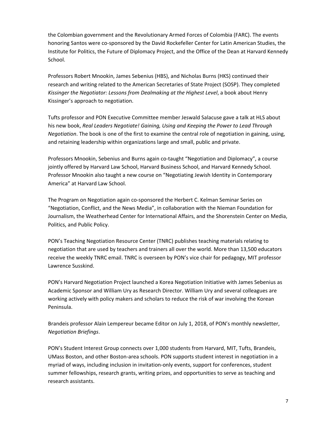the Colombian government and the Revolutionary Armed Forces of Colombia (FARC). The events honoring Santos were co‐sponsored by the David Rockefeller Center for Latin American Studies, the Institute for Politics, the Future of Diplomacy Project, and the Office of the Dean at Harvard Kennedy School.

Professors Robert Mnookin, James Sebenius (HBS), and Nicholas Burns (HKS) continued their research and writing related to the American Secretaries of State Project (SOSP). They completed *Kissinger the Negotiator: Lessons from Dealmaking at the Highest Level*, a book about Henry Kissinger's approach to negotiation.

Tufts professor and PON Executive Committee member Jeswald Salacuse gave a talk at HLS about his new book, *Real Leaders Negotiate! Gaining, Using and Keeping the Power to Lead Through Negotiation*. The book is one of the first to examine the central role of negotiation in gaining, using, and retaining leadership within organizations large and small, public and private.

Professors Mnookin, Sebenius and Burns again co‐taught "Negotiation and Diplomacy", a course jointly offered by Harvard Law School, Harvard Business School, and Harvard Kennedy School. Professor Mnookin also taught a new course on "Negotiating Jewish Identity in Contemporary America" at Harvard Law School.

The Program on Negotiation again co‐sponsored the Herbert C. Kelman Seminar Series on "Negotiation, Conflict, and the News Media", in collaboration with the Nieman Foundation for Journalism, the Weatherhead Center for International Affairs, and the Shorenstein Center on Media, Politics, and Public Policy.

PON's Teaching Negotiation Resource Center (TNRC) publishes teaching materials relating to negotiation that are used by teachers and trainers all over the world. More than 13,500 educators receive the weekly TNRC email. TNRC is overseen by PON's vice chair for pedagogy, MIT professor Lawrence Susskind.

PON's Harvard Negotiation Project launched a Korea Negotiation Initiative with James Sebenius as Academic Sponsor and William Ury as Research Director. William Ury and several colleagues are working actively with policy makers and scholars to reduce the risk of war involving the Korean Peninsula.

Brandeis professor Alain Lempereur became Editor on July 1, 2018, of PON's monthly newsletter, *Negotiation Briefings*.

PON's Student Interest Group connects over 1,000 students from Harvard, MIT, Tufts, Brandeis, UMass Boston, and other Boston‐area schools. PON supports student interest in negotiation in a myriad of ways, including inclusion in invitation‐only events, support for conferences, student summer fellowships, research grants, writing prizes, and opportunities to serve as teaching and research assistants.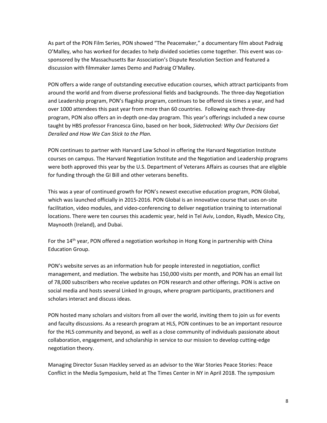As part of the PON Film Series, PON showed "The Peacemaker," a documentary film about Padraig O'Malley, who has worked for decades to help divided societies come together. This event was co‐ sponsored by the Massachusetts Bar Association's Dispute Resolution Section and featured a discussion with filmmaker James Demo and Padraig O'Malley.

PON offers a wide range of outstanding executive education courses, which attract participants from around the world and from diverse professional fields and backgrounds. The three‐day Negotiation and Leadership program, PON's flagship program, continues to be offered six times a year, and had over 1000 attendees this past year from more than 60 countries. Following each three‐day program, PON also offers an in‐depth one‐day program. This year's offerings included a new course taught by HBS professor Francesca Gino, based on her book, *Sidetracked: Why Our Decisions Get Derailed and How We Can Stick to the Plan.*

PON continues to partner with Harvard Law School in offering the Harvard Negotiation Institute courses on campus. The Harvard Negotiation Institute and the Negotiation and Leadership programs were both approved this year by the U.S. Department of Veterans Affairs as courses that are eligible for funding through the GI Bill and other veterans benefits.

This was a year of continued growth for PON's newest executive education program, PON Global, which was launched officially in 2015‐2016. PON Global is an innovative course that uses on‐site facilitation, video modules, and video-conferencing to deliver negotiation training to international locations. There were ten courses this academic year, held in Tel Aviv, London, Riyadh, Mexico City, Maynooth (Ireland), and Dubai.

For the 14<sup>th</sup> year, PON offered a negotiation workshop in Hong Kong in partnership with China Education Group.

PON's website serves as an information hub for people interested in negotiation, conflict management, and mediation. The website has 150,000 visits per month, and PON has an email list of 78,000 subscribers who receive updates on PON research and other offerings. PON is active on social media and hosts several Linked In groups, where program participants, practitioners and scholars interact and discuss ideas.

PON hosted many scholars and visitors from all over the world, inviting them to join us for events and faculty discussions. As a research program at HLS, PON continues to be an important resource for the HLS community and beyond, as well as a close community of individuals passionate about collaboration, engagement, and scholarship in service to our mission to develop cutting‐edge negotiation theory.

Managing Director Susan Hackley served as an advisor to the War Stories Peace Stories: Peace Conflict in the Media Symposium, held at The Times Center in NY in April 2018. The symposium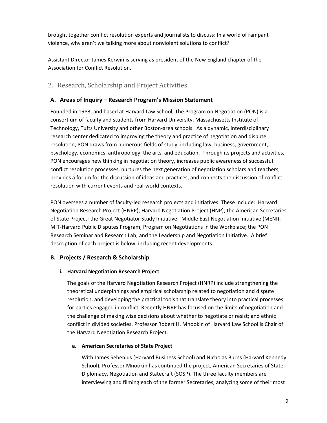brought together conflict resolution experts and journalists to discuss: In a world of rampant violence, why aren't we talking more about nonviolent solutions to conflict?

Assistant Director James Kerwin is serving as president of the New England chapter of the Association for Conflict Resolution.

#### 2. Research, Scholarship and Project Activities

#### **A. Areas of Inquiry – Research Program's Mission Statement**

Founded in 1983, and based at Harvard Law School, The Program on Negotiation (PON) is a consortium of faculty and students from Harvard University, Massachusetts Institute of Technology, Tufts University and other Boston‐area schools. As a dynamic, interdisciplinary research center dedicated to improving the theory and practice of negotiation and dispute resolution, PON draws from numerous fields of study, including law, business, government, psychology, economics, anthropology, the arts, and education. Through its projects and activities, PON encourages new thinking in negotiation theory, increases public awareness of successful conflict resolution processes, nurtures the next generation of negotiation scholars and teachers, provides a forum for the discussion of ideas and practices, and connects the discussion of conflict resolution with current events and real‐world contexts.

PON oversees a number of faculty-led research projects and initiatives. These include: Harvard Negotiation Research Project (HNRP); Harvard Negotiation Project (HNP); the American Secretaries of State Project; the Great Negotiator Study Initiative; Middle East Negotiation Initiative (MENI); MIT‐Harvard Public Disputes Program; Program on Negotiations in the Workplace; the PON Research Seminar and Research Lab; and the Leadership and Negotiation Initiative. A brief description of each project is below, including recent developments.

#### **B. Projects / Research & Scholarship**

#### **i. Harvard Negotiation Research Project**

The goals of the Harvard Negotiation Research Project (HNRP) include strengthening the theoretical underpinnings and empirical scholarship related to negotiation and dispute resolution, and developing the practical tools that translate theory into practical processes for parties engaged in conflict. Recently HNRP has focused on the limits of negotiation and the challenge of making wise decisions about whether to negotiate or resist; and ethnic conflict in divided societies. Professor Robert H. Mnookin of Harvard Law School is Chair of the Harvard Negotiation Research Project.

#### **a. American Secretaries of State Project**

With James Sebenius (Harvard Business School) and Nicholas Burns (Harvard Kennedy School), Professor Mnookin has continued the project, American Secretaries of State: Diplomacy, Negotiation and Statecraft (SOSP). The three faculty members are interviewing and filming each of the former Secretaries, analyzing some of their most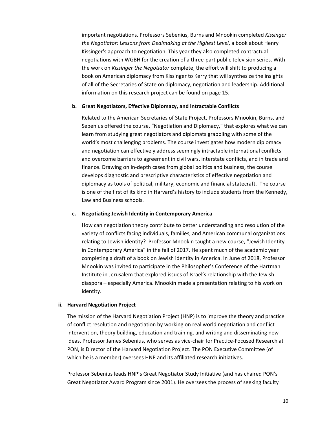important negotiations. Professors Sebenius, Burns and Mnookin completed *Kissinger the Negotiator: Lessons from Dealmaking at the Highest Level*, a book about Henry Kissinger's approach to negotiation. This year they also completed contractual negotiations with WGBH for the creation of a three‐part public television series. With the work on *Kissinger the Negotiator* complete, the effort will shift to producing a book on American diplomacy from Kissinger to Kerry that will synthesize the insights of all of the Secretaries of State on diplomacy, negotiation and leadership. Additional information on this research project can be found on page 15.

#### **b. Great Negotiators, Effective Diplomacy, and Intractable Conflicts**

Related to the American Secretaries of State Project, Professors Mnookin, Burns, and Sebenius offered the course, "Negotiation and Diplomacy," that explores what we can learn from studying great negotiators and diplomats grappling with some of the world's most challenging problems. The course investigates how modern diplomacy and negotiation can effectively address seemingly intractable international conflicts and overcome barriers to agreement in civil wars, interstate conflicts, and in trade and finance. Drawing on in‐depth cases from global politics and business, the course develops diagnostic and prescriptive characteristics of effective negotiation and diplomacy as tools of political, military, economic and financial statecraft. The course is one of the first of its kind in Harvard's history to include students from the Kennedy, Law and Business schools.

#### **c. Negotiating Jewish Identity in Contemporary America**

How can negotiation theory contribute to better understanding and resolution of the variety of conflicts facing individuals, families, and American communal organizations relating to Jewish identity? Professor Mnookin taught a new course, "Jewish Identity in Contemporary America" in the fall of 2017. He spent much of the academic year completing a draft of a book on Jewish identity in America. In June of 2018, Professor Mnookin was invited to participate in the Philosopher's Conference of the Hartman Institute in Jerusalem that explored issues of Israel's relationship with the Jewish diaspora – especially America. Mnookin made a presentation relating to his work on identity.

#### **ii. Harvard Negotiation Project**

The mission of the Harvard Negotiation Project (HNP) is to improve the theory and practice of conflict resolution and negotiation by working on real world negotiation and conflict intervention, theory building, education and training, and writing and disseminating new ideas. Professor James Sebenius, who serves as vice‐chair for Practice‐Focused Research at PON, is Director of the Harvard Negotiation Project. The PON Executive Committee (of which he is a member) oversees HNP and its affiliated research initiatives.

Professor Sebenius leads HNP's Great Negotiator Study Initiative (and has chaired PON's Great Negotiator Award Program since 2001). He oversees the process of seeking faculty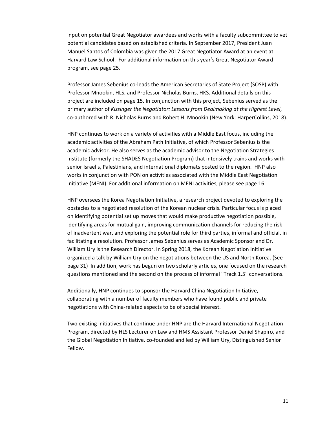input on potential Great Negotiator awardees and works with a faculty subcommittee to vet potential candidates based on established criteria. In September 2017, President Juan Manuel Santos of Colombia was given the 2017 Great Negotiator Award at an event at Harvard Law School. For additional information on this year's Great Negotiator Award program, see page 25.

Professor James Sebenius co‐leads the American Secretaries of State Project (SOSP) with Professor Mnookin, HLS, and Professor Nicholas Burns, HKS. Additional details on this project are included on page 15. In conjunction with this project, Sebenius served as the primary author of *Kissinger the Negotiator: Lessons from Dealmaking at the Highest Level*, co-authored with R. Nicholas Burns and Robert H. Mnookin (New York: HarperCollins, 2018).

HNP continues to work on a variety of activities with a Middle East focus, including the academic activities of the Abraham Path Initiative, of which Professor Sebenius is the academic advisor. He also serves as the academic advisor to the Negotiation Strategies Institute (formerly the SHADES Negotiation Program) that intensively trains and works with senior Israelis, Palestinians, and international diplomats posted to the region. HNP also works in conjunction with PON on activities associated with the Middle East Negotiation Initiative (MENI). For additional information on MENI activities, please see page 16.

HNP oversees the Korea Negotiation Initiative, a research project devoted to exploring the obstacles to a negotiated resolution of the Korean nuclear crisis. Particular focus is placed on identifying potential set up moves that would make productive negotiation possible, identifying areas for mutual gain, improving communication channels for reducing the risk of inadvertent war, and exploring the potential role for third parties, informal and official, in facilitating a resolution. Professor James Sebenius serves as Academic Sponsor and Dr. William Ury is the Research Director. In Spring 2018, the Korean Negotiation Initiative organized a talk by William Ury on the negotiations between the US and North Korea. (See page 31) In addition, work has begun on two scholarly articles, one focused on the research questions mentioned and the second on the process of informal "Track 1.5" conversations.

Additionally, HNP continues to sponsor the Harvard China Negotiation Initiative, collaborating with a number of faculty members who have found public and private negotiations with China‐related aspects to be of special interest.

Two existing initiatives that continue under HNP are the Harvard International Negotiation Program, directed by HLS Lecturer on Law and HMS Assistant Professor Daniel Shapiro, and the Global Negotiation Initiative, co-founded and led by William Ury, Distinguished Senior Fellow.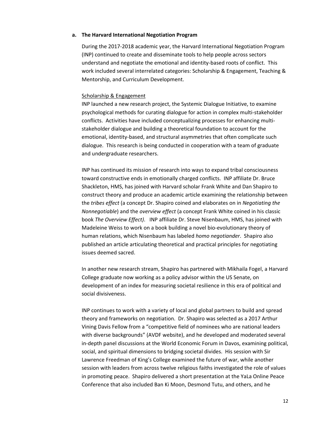#### **a. The Harvard International Negotiation Program**

During the 2017‐2018 academic year, the Harvard International Negotiation Program (INP) continued to create and disseminate tools to help people across sectors understand and negotiate the emotional and identity‐based roots of conflict. This work included several interrelated categories: Scholarship & Engagement, Teaching & Mentorship, and Curriculum Development.

#### Scholarship & Engagement

INP launched a new research project, the Systemic Dialogue Initiative, to examine psychological methods for curating dialogue for action in complex multi‐stakeholder conflicts. Activities have included conceptualizing processes for enhancing multi‐ stakeholder dialogue and building a theoretical foundation to account for the emotional, identity‐based, and structural asymmetries that often complicate such dialogue. This research is being conducted in cooperation with a team of graduate and undergraduate researchers.

INP has continued its mission of research into ways to expand tribal consciousness toward constructive ends in emotionally charged conflicts. INP affiliate Dr. Bruce Shackleton, HMS, has joined with Harvard scholar Frank White and Dan Shapiro to construct theory and produce an academic article examining the relationship between the *tribes effect* (a concept Dr. Shapiro coined and elaborates on in *Negotiating the Nonnegotiable*) and the *overview effect* (a concept Frank White coined in his classic book *The Overview Effect)*. INP affiliate Dr. Steve Nisenbaum, HMS, has joined with Madeleine Weiss to work on a book building a novel bio‐evolutionary theory of human relations, which Nisenbaum has labeled *homo negotiander*. Shapiro also published an article articulating theoretical and practical principles for negotiating issues deemed sacred.

In another new research stream, Shapiro has partnered with Mikhaila Fogel, a Harvard College graduate now working as a policy advisor within the US Senate, on development of an index for measuring societal resilience in this era of political and social divisiveness.

INP continues to work with a variety of local and global partners to build and spread theory and frameworks on negotiation. Dr. Shapiro was selected as a 2017 Arthur Vining Davis Fellow from a "competitive field of nominees who are national leaders with diverse backgrounds" (AVDF website), and he developed and moderated several in-depth panel discussions at the World Economic Forum in Davos, examining political, social, and spiritual dimensions to bridging societal divides. His session with Sir Lawrence Freedman of King's College examined the future of war, while another session with leaders from across twelve religious faiths investigated the role of values in promoting peace. Shapiro delivered a short presentation at the YaLa Online Peace Conference that also included Ban Ki Moon, Desmond Tutu, and others, and he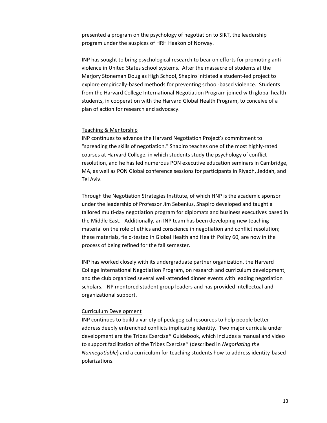presented a program on the psychology of negotiation to SIKT, the leadership program under the auspices of HRH Haakon of Norway.

INP has sought to bring psychological research to bear on efforts for promoting anti‐ violence in United States school systems. After the massacre of students at the Marjory Stoneman Douglas High School, Shapiro initiated a student‐led project to explore empirically‐based methods for preventing school‐based violence. Students from the Harvard College International Negotiation Program joined with global health students, in cooperation with the Harvard Global Health Program, to conceive of a plan of action for research and advocacy.

#### Teaching & Mentorship

INP continues to advance the Harvard Negotiation Project's commitment to "spreading the skills of negotiation." Shapiro teaches one of the most highly‐rated courses at Harvard College, in which students study the psychology of conflict resolution, and he has led numerous PON executive education seminars in Cambridge, MA, as well as PON Global conference sessions for participants in Riyadh, Jeddah, and Tel Aviv.

Through the Negotiation Strategies Institute, of which HNP is the academic sponsor under the leadership of Professor Jim Sebenius, Shapiro developed and taught a tailored multi‐day negotiation program for diplomats and business executives based in the Middle East. Additionally, an INP team has been developing new teaching material on the role of ethics and conscience in negotiation and conflict resolution; these materials, field‐tested in Global Health and Health Policy 60, are now in the process of being refined for the fall semester.

INP has worked closely with its undergraduate partner organization, the Harvard College International Negotiation Program, on research and curriculum development, and the club organized several well‐attended dinner events with leading negotiation scholars. INP mentored student group leaders and has provided intellectual and organizational support.

#### Curriculum Development

INP continues to build a variety of pedagogical resources to help people better address deeply entrenched conflicts implicating identity. Two major curricula under development are the Tribes Exercise® Guidebook, which includes a manual and video to support facilitation of the Tribes Exercise® (described in *Negotiating the Nonnegotiable*) and a curriculum for teaching students how to address identity‐based polarizations.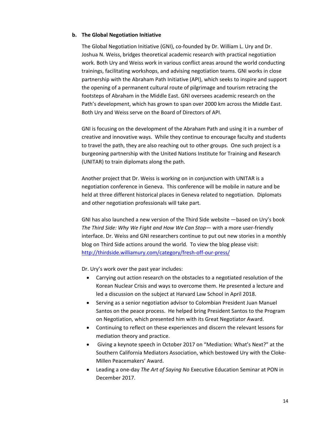#### **b. The Global Negotiation Initiative**

The Global Negotiation Initiative (GNI), co-founded by Dr. William L. Ury and Dr. Joshua N. Weiss, bridges theoretical academic research with practical negotiation work. Both Ury and Weiss work in various conflict areas around the world conducting trainings, facilitating workshops, and advising negotiation teams. GNI works in close partnership with the Abraham Path Initiative (API), which seeks to inspire and support the opening of a permanent cultural route of pilgrimage and tourism retracing the footsteps of Abraham in the Middle East. GNI oversees academic research on the Path's development, which has grown to span over 2000 km across the Middle East. Both Ury and Weiss serve on the Board of Directors of API.

GNI is focusing on the development of the Abraham Path and using it in a number of creative and innovative ways. While they continue to encourage faculty and students to travel the path, they are also reaching out to other groups. One such project is a burgeoning partnership with the United Nations Institute for Training and Research (UNITAR) to train diplomats along the path.

Another project that Dr. Weiss is working on in conjunction with UNITAR is a negotiation conference in Geneva. This conference will be mobile in nature and be held at three different historical places in Geneva related to negotiation. Diplomats and other negotiation professionals will take part.

GNI has also launched a new version of the Third Side website —based on Ury's book *The Third Side: Why We Fight and How We Can Stop*— with a more user‐friendly interface. Dr. Weiss and GNI researchers continue to put out new stories in a monthly blog on Third Side actions around the world. To view the blog please visit: http://thirdside.williamury.com/category/fresh‐off‐our‐press/

Dr. Ury's work over the past year includes:

- Carrying out action research on the obstacles to a negotiated resolution of the Korean Nuclear Crisis and ways to overcome them. He presented a lecture and led a discussion on the subject at Harvard Law School in April 2018.
- Serving as a senior negotiation advisor to Colombian President Juan Manuel Santos on the peace process. He helped bring President Santos to the Program on Negotiation, which presented him with its Great Negotiator Award.
- Continuing to reflect on these experiences and discern the relevant lessons for mediation theory and practice.
- Giving a keynote speech in October 2017 on "Mediation: What's Next?" at the Southern California Mediators Association, which bestowed Ury with the Cloke‐ Millen Peacemakers' Award.
- Leading a one‐day *The Art of Saying No* Executive Education Seminar at PON in December 2017.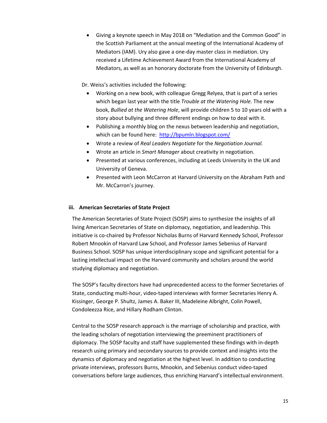Giving a keynote speech in May 2018 on "Mediation and the Common Good" in the Scottish Parliament at the annual meeting of the International Academy of Mediators (IAM). Ury also gave a one‐day master class in mediation. Ury received a Lifetime Achievement Award from the International Academy of Mediators, as well as an honorary doctorate from the University of Edinburgh.

Dr. Weiss's activities included the following:

- Working on a new book, with colleague Gregg Relyea, that is part of a series which began last year with the title *Trouble at the Watering Hole*. The new book, *Bullied at the Watering Hole*, will provide children 5 to 10 years old with a story about bullying and three different endings on how to deal with it.
- Publishing a monthly blog on the nexus between leadership and negotiation, which can be found here: http://bpumln.blogspot.com/
- Wrote a review of *Real Leaders Negotiate* for the *Negotiation Journal.*
- Wrote an article in *Smart Manager* about creativity in negotiation.
- Presented at various conferences, including at Leeds University in the UK and University of Geneva.
- Presented with Leon McCarron at Harvard University on the Abraham Path and Mr. McCarron's journey.

#### **iii. American Secretaries of State Project**

The American Secretaries of State Project (SOSP) aims to synthesize the insights of all living American Secretaries of State on diplomacy, negotiation, and leadership. This initiative is co-chaired by Professor Nicholas Burns of Harvard Kennedy School, Professor Robert Mnookin of Harvard Law School, and Professor James Sebenius of Harvard Business School. SOSP has unique interdisciplinary scope and significant potential for a lasting intellectual impact on the Harvard community and scholars around the world studying diplomacy and negotiation.

The SOSP's faculty directors have had unprecedented access to the former Secretaries of State, conducting multi‐hour, video‐taped interviews with former Secretaries Henry A. Kissinger, George P. Shultz, James A. Baker III, Madeleine Albright, Colin Powell, Condoleezza Rice, and Hillary Rodham Clinton.

Central to the SOSP research approach is the marriage of scholarship and practice, with the leading scholars of negotiation interviewing the preeminent practitioners of diplomacy. The SOSP faculty and staff have supplemented these findings with in‐depth research using primary and secondary sources to provide context and insights into the dynamics of diplomacy and negotiation at the highest level. In addition to conducting private interviews, professors Burns, Mnookin, and Sebenius conduct video‐taped conversations before large audiences, thus enriching Harvard's intellectual environment.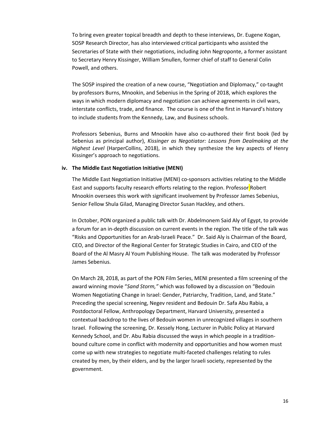To bring even greater topical breadth and depth to these interviews, Dr. Eugene Kogan, SOSP Research Director, has also interviewed critical participants who assisted the Secretaries of State with their negotiations, including John Negroponte, a former assistant to Secretary Henry Kissinger, William Smullen, former chief of staff to General Colin Powell, and others.

The SOSP inspired the creation of a new course, "Negotiation and Diplomacy," co‐taught by professors Burns, Mnookin, and Sebenius in the Spring of 2018, which explores the ways in which modern diplomacy and negotiation can achieve agreements in civil wars, interstate conflicts, trade, and finance. The course is one of the first in Harvard's history to include students from the Kennedy, Law, and Business schools.

Professors Sebenius, Burns and Mnookin have also co-authored their first book (led by Sebenius as principal author), *Kissinger as Negotiator: Lessons from Dealmaking at the Highest Level* (HarperCollins, 2018), in which they synthesize the key aspects of Henry Kissinger's approach to negotiations.

#### **iv. The Middle East Negotiation Initiative (MENI)**

The Middle East Negotiation Initiative (MENI) co‐sponsors activities relating to the Middle East and supports faculty research efforts relating to the region. Professor Robert Mnookin oversees this work with significant involvement by Professor James Sebenius, Senior Fellow Shula Gilad, Managing Director Susan Hackley, and others.

In October, PON organized a public talk with Dr. Abdelmonem Said Aly of Egypt, to provide a forum for an in-depth discussion on current events in the region. The title of the talk was "Risks and Opportunities for an Arab‐Israeli Peace." Dr. Said Aly is Chairman of the Board, CEO, and Director of the Regional Center for Strategic Studies in Cairo, and CEO of the Board of the Al Masry Al Youm Publishing House. The talk was moderated by Professor James Sebenius.

On March 28, 2018, as part of the PON Film Series, MENI presented a film screening of the award winning movie "*Sand Storm,"* which was followed by a discussion on "Bedouin Women Negotiating Change in Israel: Gender, Patriarchy, Tradition, Land, and State." Preceding the special screening, Negev resident and Bedouin Dr. Safa Abu Rabia, a Postdoctoral Fellow, Anthropology Department, Harvard University, presented a contextual backdrop to the lives of Bedouin women in unrecognized villages in southern Israel. Following the screening, Dr. Kessely Hong, Lecturer in Public Policy at Harvard Kennedy School, and Dr. Abu Rabia discussed the ways in which people in a tradition‐ bound culture come in conflict with modernity and opportunities and how women must come up with new strategies to negotiate multi‐faceted challenges relating to rules created by men, by their elders, and by the larger Israeli society, represented by the government.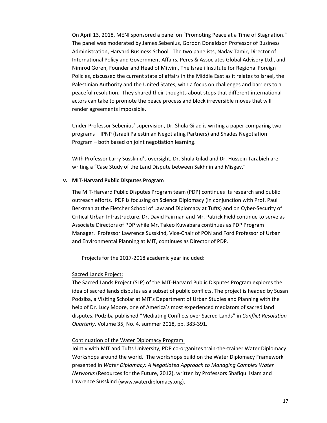On April 13, 2018, MENI sponsored a panel on "Promoting Peace at a Time of Stagnation." The panel was moderated by James Sebenius, Gordon Donaldson Professor of Business Administration, Harvard Business School. The two panelists, Nadav Tamir, Director of International Policy and Government Affairs, Peres & Associates Global Advisory Ltd., and Nimrod Goren, Founder and Head of Mitvim, The Israeli Institute for Regional Foreign Policies, discussed the current state of affairs in the Middle East as it relates to Israel, the Palestinian Authority and the United States, with a focus on challenges and barriers to a peaceful resolution. They shared their thoughts about steps that different international actors can take to promote the peace process and block irreversible moves that will render agreements impossible.

Under Professor Sebenius' supervision, Dr. Shula Gilad is writing a paper comparing two programs – IPNP (Israeli Palestinian Negotiating Partners) and Shades Negotiation Program – both based on joint negotiation learning.

With Professor Larry Susskind's oversight, Dr. Shula Gilad and Dr. Hussein Tarabieh are writing a "Case Study of the Land Dispute between Sakhnin and Misgav."

#### **v. MIT‐Harvard Public Disputes Program**

The MIT‐Harvard Public Disputes Program team (PDP) continues its research and public outreach efforts. PDP is focusing on Science Diplomacy (in conjunction with Prof. Paul Berkman at the Fletcher School of Law and Diplomacy at Tufts) and on Cyber‐Security of Critical Urban Infrastructure. Dr. David Fairman and Mr. Patrick Field continue to serve as Associate Directors of PDP while Mr. Takeo Kuwabara continues as PDP Program Manager. Professor Lawrence Susskind, Vice‐Chair of PON and Ford Professor of Urban and Environmental Planning at MIT, continues as Director of PDP.

Projects for the 2017‐2018 academic year included:

#### Sacred Lands Project:

The Sacred Lands Project (SLP) of the MIT‐Harvard Public Disputes Program explores the idea of sacred lands disputes as a subset of public conflicts. The project is headed by Susan Podziba, a Visiting Scholar at MIT's Department of Urban Studies and Planning with the help of Dr. Lucy Moore, one of America's most experienced mediators of sacred land disputes. Podziba published "Mediating Conflicts over Sacred Lands" in *Conflict Resolution Quarterly*, Volume 35, No. 4, summer 2018, pp. 383‐391.

#### Continuation of the Water Diplomacy Program:

Jointly with MIT and Tufts University, PDP co‐organizes train‐the‐trainer Water Diplomacy Workshops around the world. The workshops build on the Water Diplomacy Framework presented in *Water Diplomacy: A Negotiated Approach to Managing Complex Water Networks* (Resources for the Future, 2012), written by Professors Shafiqul Islam and Lawrence Susskind (www.waterdiplomacy.org).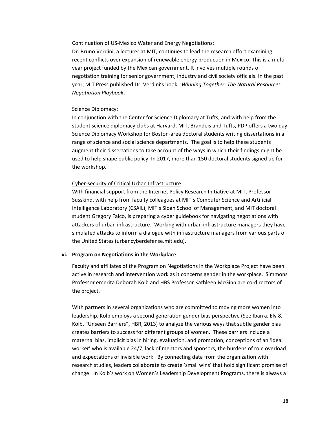#### Continuation of US‐Mexico Water and Energy Negotiations:

Dr. Bruno Verdini, a lecturer at MIT, continues to lead the research effort examining recent conflicts over expansion of renewable energy production in Mexico. This is a multi‐ year project funded by the Mexican government. It involves multiple rounds of negotiation training for senior government, industry and civil society officials. In the past year, MIT Press published Dr. Verdini's book: *Winning Together: The Natural Resources Negotiation Playbook***.**

#### Science Diplomacy:

In conjunction with the Center for Science Diplomacy at Tufts, and with help from the student science diplomacy clubs at Harvard, MIT, Brandeis and Tufts, PDP offers a two day Science Diplomacy Workshop for Boston‐area doctoral students writing dissertations in a range of science and social science departments. The goal is to help these students augment their dissertations to take account of the ways in which their findings might be used to help shape public policy. In 2017, more than 150 doctoral students signed up for the workshop.

#### Cyber‐security of Critical Urban Infrastructure

With financial support from the Internet Policy Research Initiative at MIT, Professor Susskind, with help from faculty colleagues at MIT's Computer Science and Artificial Intelligence Laboratory (CSAIL), MIT's Sloan School of Management, and MIT doctoral student Gregory Falco, is preparing a cyber guidebook for navigating negotiations with attackers of urban infrastructure. Working with urban infrastructure managers they have simulated attacks to inform a dialogue with infrastructure managers from various parts of the United States (urbancyberdefense.mit.edu).

#### **vi. Program on Negotiations in the Workplace**

Faculty and affiliates of the Program on Negotiations in the Workplace Project have been active in research and intervention work as it concerns gender in the workplace. Simmons Professor emerita Deborah Kolb and HBS Professor Kathleen McGinn are co‐directors of the project.

With partners in several organizations who are committed to moving more women into leadership, Kolb employs a second generation gender bias perspective (See Ibarra, Ely & Kolb, "Unseen Barriers", HBR, 2013) to analyze the various ways that subtle gender bias creates barriers to success for different groups of women. These barriers include a maternal bias, implicit bias in hiring, evaluation, and promotion, conceptions of an 'ideal worker' who is available 24/7, lack of mentors and sponsors, the burdens of role overload and expectations of invisible work. By connecting data from the organization with research studies, leaders collaborate to create 'small wins' that hold significant promise of change. In Kolb's work on Women's Leadership Development Programs, there is always a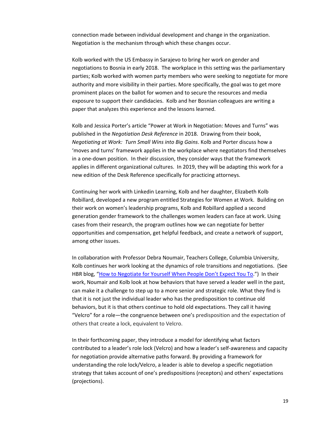connection made between individual development and change in the organization. Negotiation is the mechanism through which these changes occur.

Kolb worked with the US Embassy in Sarajevo to bring her work on gender and negotiations to Bosnia in early 2018. The workplace in this setting was the parliamentary parties; Kolb worked with women party members who were seeking to negotiate for more authority and more visibility in their parties. More specifically, the goal was to get more prominent places on the ballot for women and to secure the resources and media exposure to support their candidacies. Kolb and her Bosnian colleagues are writing a paper that analyzes this experience and the lessons learned.

Kolb and Jessica Porter's article "Power at Work in Negotiation: Moves and Turns" was published in the *Negotiation Desk Reference* in 2018. Drawing from their book, *Negotiating at Work: Turn Small Wins into Big Gains*. Kolb and Porter discuss how a 'moves and turns' framework applies in the workplace where negotiators find themselves in a one‐down position. In their discussion, they consider ways that the framework applies in different organizational cultures. In 2019, they will be adapting this work for a new edition of the Desk Reference specifically for practicing attorneys.

Continuing her work with Linkedin Learning, Kolb and her daughter, Elizabeth Kolb Robillard, developed a new program entitled Strategies for Women at Work. Building on their work on women's leadership programs, Kolb and Robillard applied a second generation gender framework to the challenges women leaders can face at work. Using cases from their research, the program outlines how we can negotiate for better opportunities and compensation, get helpful feedback, and create a network of support, among other issues.

In collaboration with Professor Debra Noumair, Teachers College, Columbia University, Kolb continues her work looking at the dynamics of role transitions and negotiations. (See HBR blog, "How to Negotiate for Yourself When People Don't Expect You To.") In their work, Noumair and Kolb look at how behaviors that have served a leader well in the past, can make it a challenge to step up to a more senior and strategic role. What they find is that it is not just the individual leader who has the predisposition to continue old behaviors, but it is that others continue to hold old expectations. They call it having "Velcro" for a role—the congruence between one's predisposition and the expectation of others that create a lock, equivalent to Velcro.

In their forthcoming paper, they introduce a model for identifying what factors contributed to a leader's role lock (Velcro) and how a leader's self‐awareness and capacity for negotiation provide alternative paths forward. By providing a framework for understanding the role lock/Velcro, a leader is able to develop a specific negotiation strategy that takes account of one's predispositions (receptors) and others' expectations (projections).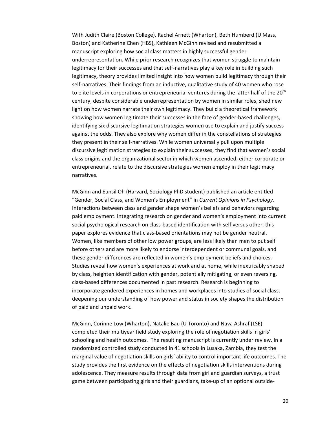With Judith Claire (Boston College), Rachel Arnett (Wharton), Beth Humberd (U Mass, Boston) and Katherine Chen (HBS), Kathleen McGinn revised and resubmitted a manuscript exploring how social class matters in highly successful gender underrepresentation. While prior research recognizes that women struggle to maintain legitimacy for their successes and that self-narratives play a key role in building such legitimacy, theory provides limited insight into how women build legitimacy through their self-narratives. Their findings from an inductive, qualitative study of 40 women who rose to elite levels in corporations or entrepreneurial ventures during the latter half of the 20<sup>th</sup> century, despite considerable underrepresentation by women in similar roles, shed new light on how women narrate their own legitimacy. They build a theoretical framework showing how women legitimate their successes in the face of gender‐based challenges, identifying six discursive legitimation strategies women use to explain and justify success against the odds. They also explore why women differ in the constellations of strategies they present in their self‐narratives. While women universally pull upon multiple discursive legitimation strategies to explain their successes, they find that women's social class origins and the organizational sector in which women ascended, either corporate or entrepreneurial, relate to the discursive strategies women employ in their legitimacy narratives.

McGinn and Eunsil Oh (Harvard, Sociology PhD student) published an article entitled "Gender, Social Class, and Women's Employment" in *Current Opinions in Psychology.* Interactions between class and gender shape women's beliefs and behaviors regarding paid employment. Integrating research on gender and women's employment into current social psychological research on class-based identification with self versus other, this paper explores evidence that class‐based orientations may not be gender neutral. Women, like members of other low power groups, are less likely than men to put self before others and are more likely to endorse interdependent or communal goals, and these gender differences are reflected in women's employment beliefs and choices. Studies reveal how women's experiences at work and at home, while inextricably shaped by class, heighten identification with gender, potentially mitigating, or even reversing, class‐based differences documented in past research. Research is beginning to incorporate gendered experiences in homes and workplaces into studies of social class, deepening our understanding of how power and status in society shapes the distribution of paid and unpaid work.

McGinn, Corinne Low (Wharton), Natalie Bau (U Toronto) and Nava Ashraf (LSE) completed their multiyear field study exploring the role of negotiation skills in girls' schooling and health outcomes. The resulting manuscript is currently under review. In a randomized controlled study conducted in 41 schools in Lusaka, Zambia, they test the marginal value of negotiation skills on girls' ability to control important life outcomes. The study provides the first evidence on the effects of negotiation skills interventions during adolescence. They measure results through data from girl and guardian surveys, a trust game between participating girls and their guardians, take‐up of an optional outside‐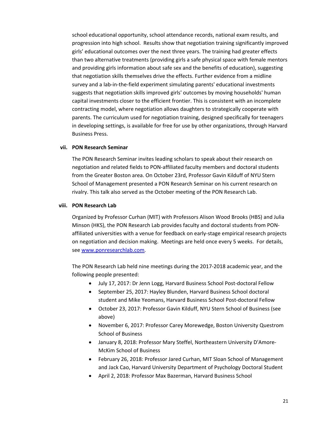school educational opportunity, school attendance records, national exam results, and progression into high school. Results show that negotiation training significantly improved girls' educational outcomes over the next three years. The training had greater effects than two alternative treatments (providing girls a safe physical space with female mentors and providing girls information about safe sex and the benefits of education), suggesting that negotiation skills themselves drive the effects. Further evidence from a midline survey and a lab‐in‐the‐field experiment simulating parents' educational investments suggests that negotiation skills improved girls' outcomes by moving households' human capital investments closer to the efficient frontier. This is consistent with an incomplete contracting model, where negotiation allows daughters to strategically cooperate with parents. The curriculum used for negotiation training, designed specifically for teenagers in developing settings, is available for free for use by other organizations, through Harvard Business Press.

#### **vii. PON Research Seminar**

The PON Research Seminar invites leading scholars to speak about their research on negotiation and related fields to PON‐affiliated faculty members and doctoral students from the Greater Boston area. On October 23rd, Professor Gavin Kilduff of NYU Stern School of Management presented a PON Research Seminar on his current research on rivalry. This talk also served as the October meeting of the PON Research Lab.

#### **viii. PON Research Lab**

Organized by Professor Curhan (MIT) with Professors Alison Wood Brooks (HBS) and Julia Minson (HKS), the PON Research Lab provides faculty and doctoral students from PON‐ affiliated universities with a venue for feedback on early‐stage empirical research projects on negotiation and decision making. Meetings are held once every 5 weeks. For details, see www.ponresearchlab.com.

The PON Research Lab held nine meetings during the 2017‐2018 academic year, and the following people presented:

- July 17, 2017: Dr Jenn Logg, Harvard Business School Post‐doctoral Fellow
- September 25, 2017: Hayley Blunden, Harvard Business School doctoral student and Mike Yeomans, Harvard Business School Post‐doctoral Fellow
- October 23, 2017: Professor Gavin Kilduff, NYU Stern School of Business (see above)
- November 6, 2017: Professor Carey Morewedge, Boston University Questrom School of Business
- January 8, 2018: Professor Mary Steffel, Northeastern University D'Amore-McKim School of Business
- February 26, 2018: Professor Jared Curhan, MIT Sloan School of Management and Jack Cao, Harvard University Department of Psychology Doctoral Student
- April 2, 2018: Professor Max Bazerman, Harvard Business School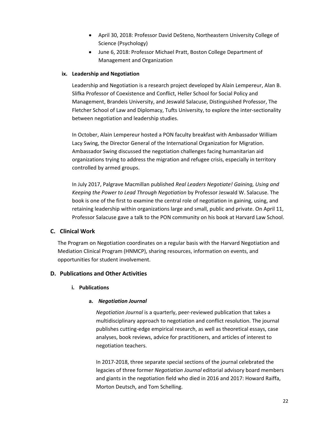- April 30, 2018: Professor David DeSteno, Northeastern University College of Science (Psychology)
- June 6, 2018: Professor Michael Pratt, Boston College Department of Management and Organization

#### **ix. Leadership and Negotiation**

Leadership and Negotiation is a research project developed by Alain Lempereur, Alan B. Slifka Professor of Coexistence and Conflict, Heller School for Social Policy and Management, Brandeis University, and Jeswald Salacuse, Distinguished Professor, The Fletcher School of Law and Diplomacy, Tufts University, to explore the inter‐sectionality between negotiation and leadership studies.

In October, Alain Lempereur hosted a PON faculty breakfast with Ambassador William Lacy Swing, the Director General of the International Organization for Migration. Ambassador Swing discussed the negotiation challenges facing humanitarian aid organizations trying to address the migration and refugee crisis, especially in territory controlled by armed groups.

In July 2017, Palgrave Macmillan published *Real Leaders Negotiate! Gaining, Using and Keeping the Power to Lead Through Negotiation* by Professor Jeswald W. Salacuse. The book is one of the first to examine the central role of negotiation in gaining, using, and retaining leadership within organizations large and small, public and private. On April 11, Professor Salacuse gave a talk to the PON community on his book at Harvard Law School.

#### **C. Clinical Work**

The Program on Negotiation coordinates on a regular basis with the Harvard Negotiation and Mediation Clinical Program (HNMCP), sharing resources, information on events, and opportunities for student involvement.

#### **D. Publications and Other Activities**

#### **i. Publications**

#### **a.** *Negotiation Journal*

*Negotiation Journal* is a quarterly, peer‐reviewed publication that takes a multidisciplinary approach to negotiation and conflict resolution. The journal publishes cutting‐edge empirical research, as well as theoretical essays, case analyses, book reviews, advice for practitioners, and articles of interest to negotiation teachers.

In 2017‐2018, three separate special sections of the journal celebrated the legacies of three former *Negotiation Journal* editorial advisory board members and giants in the negotiation field who died in 2016 and 2017: Howard Raiffa, Morton Deutsch, and Tom Schelling.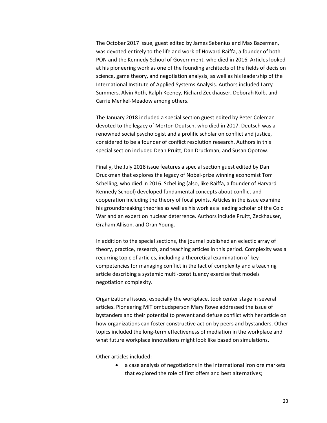The October 2017 issue, guest edited by James Sebenius and Max Bazerman, was devoted entirely to the life and work of Howard Raiffa, a founder of both PON and the Kennedy School of Government, who died in 2016. Articles looked at his pioneering work as one of the founding architects of the fields of decision science, game theory, and negotiation analysis, as well as his leadership of the International Institute of Applied Systems Analysis. Authors included Larry Summers, Alvin Roth, Ralph Keeney, Richard Zeckhauser, Deborah Kolb, and Carrie Menkel‐Meadow among others.

The January 2018 included a special section guest edited by Peter Coleman devoted to the legacy of Morton Deutsch, who died in 2017. Deutsch was a renowned social psychologist and a prolific scholar on conflict and justice, considered to be a founder of conflict resolution research. Authors in this special section included Dean Pruitt, Dan Druckman, and Susan Opotow.

Finally, the July 2018 issue features a special section guest edited by Dan Druckman that explores the legacy of Nobel‐prize winning economist Tom Schelling, who died in 2016. Schelling (also, like Raiffa, a founder of Harvard Kennedy School) developed fundamental concepts about conflict and cooperation including the theory of focal points. Articles in the issue examine his groundbreaking theories as well as his work as a leading scholar of the Cold War and an expert on nuclear deterrence. Authors include Pruitt, Zeckhauser, Graham Allison, and Oran Young.

In addition to the special sections, the journal published an eclectic array of theory, practice, research, and teaching articles in this period. Complexity was a recurring topic of articles, including a theoretical examination of key competencies for managing conflict in the fact of complexity and a teaching article describing a systemic multi‐constituency exercise that models negotiation complexity.

Organizational issues, especially the workplace, took center stage in several articles. Pioneering MIT ombudsperson Mary Rowe addressed the issue of bystanders and their potential to prevent and defuse conflict with her article on how organizations can foster constructive action by peers and bystanders. Other topics included the long‐term effectiveness of mediation in the workplace and what future workplace innovations might look like based on simulations.

Other articles included:

 a case analysis of negotiations in the international iron ore markets that explored the role of first offers and best alternatives;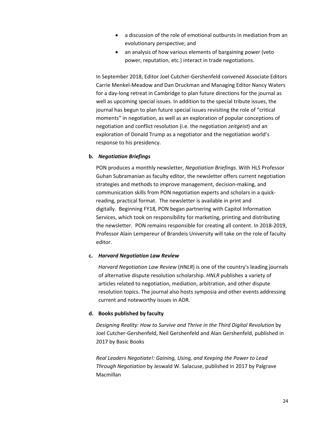- a discussion of the role of emotional outbursts in mediation from an evolutionary perspective; and
- an analysis of how various elements of bargaining power (veto power, reputation, etc.) interact in trade negotiations.

In September 2018, Editor Joel Cutcher‐Gershenfeld convened Associate Editors Carrie Menkel‐Meadow and Dan Druckman and Managing Editor Nancy Waters for a day‐long retreat in Cambridge to plan future directions for the journal as well as upcoming special issues. In addition to the special tribute issues, the journal has begun to plan future special issues revisiting the role of "critical moments" in negotiation, as well as an exploration of popular conceptions of negotiation and conflict resolution (i.e. the negotiation *zeitgeist*) and an exploration of Donald Trump as a negotiator and the negotiation world's response to his presidency.

#### **b.** *Negotiation Briefings*

PON produces a monthly newsletter, *Negotiation Briefings*. With HLS Professor Guhan Subramanian as faculty editor, the newsletter offers current negotiation strategies and methods to improve management, decision‐making, and communication skills from PON negotiation experts and scholars in a quick‐ reading, practical format. The newsletter is available in print and digitally. Beginning FY18, PON began partnering with Capitol Information Services, which took on responsibility for marketing, printing and distributing the newsletter. PON remains responsible for creating all content. In 2018‐2019, Professor Alain Lempereur of Brandeis University will take on the role of faculty editor.

#### **c.** *Harvard Negotiation Law Review*

*Harvard Negotiation Law Review* (*HNLR*) is one of the country's leading journals of alternative dispute resolution scholarship. *HNLR* publishes a variety of articles related to negotiation, mediation, arbitration, and other dispute resolution topics. The journal also hosts symposia and other events addressing current and noteworthy issues in ADR.

#### **d. Books published by faculty**

*Designing Reality: How to Survive and Thrive in the Third Digital Revolution* by Joel Cutcher‐Gershenfeld, Neil Gershenfeld and Alan Gershenfeld, published in 2017 by Basic Books

*Real Leaders Negotiate!: Gaining, Using, and Keeping the Power to Lead Through Negotiation* by Jeswald W. Salacuse, published in 2017 by Palgrave Macmillan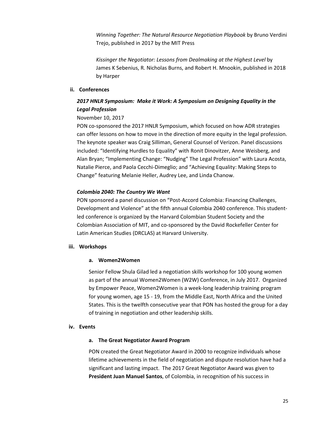*Winning Together: The Natural Resource Negotiation Playbook* by Bruno Verdini Trejo, published in 2017 by the MIT Press

*Kissinger the Negotiator: Lessons from Dealmaking at the Highest Level* by James K Sebenius, R. Nicholas Burns, and Robert H. Mnookin, published in 2018 by Harper

#### **ii. Conferences**

#### *2017 HNLR Symposium: Make it Work: A Symposium on Designing Equality in the Legal Profession*

#### November 10, 2017

PON co-sponsored the 2017 HNLR Symposium, which focused on how ADR strategies can offer lessons on how to move in the direction of more equity in the legal profession. The keynote speaker was Craig Silliman, General Counsel of Verizon. Panel discussions included: "Identifying Hurdles to Equality" with Ronit Dinovitzer, Anne Weisberg, and Alan Bryan; "Implementing Change: "Nudging" The Legal Profession" with Laura Acosta, Natalie Pierce, and Paola Cecchi‐Dimeglio; and "Achieving Equality: Making Steps to Change" featuring Melanie Heller, Audrey Lee, and Linda Chanow.

#### *Colombia 2040: The Country We Want*

PON sponsored a panel discussion on "Post‐Accord Colombia: Financing Challenges, Development and Violence" at the fifth annual Colombia 2040 conference. This student‐ led conference is organized by the Harvard Colombian Student Society and the Colombian Association of MIT, and co‐sponsored by the David Rockefeller Center for Latin American Studies (DRCLAS) at Harvard University.

#### **iii. Workshops**

#### **a. Women2Women**

Senior Fellow Shula Gilad led a negotiation skills workshop for 100 young women as part of the annual Women2Women (W2W) Conference, in July 2017. Organized by Empower Peace, Women2Women is a week‐long leadership training program for young women, age 15 ‐ 19, from the Middle East, North Africa and the United States. This is the twelfth consecutive year that PON has hosted the group for a day of training in negotiation and other leadership skills.

#### **iv. Events**

#### **a. The Great Negotiator Award Program**

PON created the Great Negotiator Award in 2000 to recognize individuals whose lifetime achievements in the field of negotiation and dispute resolution have had a significant and lasting impact. The 2017 Great Negotiator Award was given to **President Juan Manuel Santos**, of Colombia, in recognition of his success in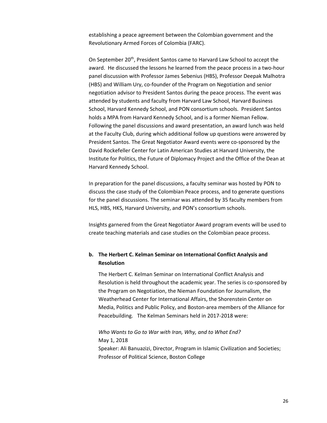establishing a peace agreement between the Colombian government and the Revolutionary Armed Forces of Colombia (FARC).

On September 20<sup>th</sup>, President Santos came to Harvard Law School to accept the award. He discussed the lessons he learned from the peace process in a two-hour panel discussion with Professor James Sebenius (HBS), Professor Deepak Malhotra (HBS) and William Ury, co‐founder of the Program on Negotiation and senior negotiation advisor to President Santos during the peace process. The event was attended by students and faculty from Harvard Law School, Harvard Business School, Harvard Kennedy School, and PON consortium schools. President Santos holds a MPA from Harvard Kennedy School, and is a former Nieman Fellow. Following the panel discussions and award presentation, an award lunch was held at the Faculty Club, during which additional follow up questions were answered by President Santos. The Great Negotiator Award events were co‐sponsored by the David Rockefeller Center for Latin American Studies at Harvard University, the Institute for Politics, the Future of Diplomacy Project and the Office of the Dean at Harvard Kennedy School.

In preparation for the panel discussions, a faculty seminar was hosted by PON to discuss the case study of the Colombian Peace process, and to generate questions for the panel discussions. The seminar was attended by 35 faculty members from HLS, HBS, HKS, Harvard University, and PON's consortium schools.

Insights garnered from the Great Negotiator Award program events will be used to create teaching materials and case studies on the Colombian peace process.

#### **b. The Herbert C. Kelman Seminar on International Conflict Analysis and Resolution**

The Herbert C. Kelman Seminar on International Conflict Analysis and Resolution is held throughout the academic year. The series is co-sponsored by the Program on Negotiation, the Nieman Foundation for Journalism, the Weatherhead Center for International Affairs, the Shorenstein Center on Media, Politics and Public Policy, and Boston‐area members of the Alliance for Peacebuilding. The Kelman Seminars held in 2017‐2018 were:

*Who Wants to Go to War with Iran, Why, and to What End?* May 1, 2018 Speaker: Ali Banuazizi, Director, Program in Islamic Civilization and Societies; Professor of Political Science, Boston College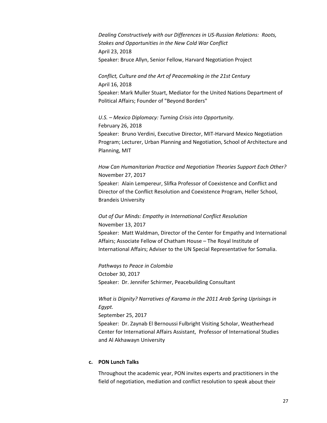*Dealing Constructively with our Differences in US‐Russian Relations: Roots, Stakes and Opportunities in the New Cold War Conflict* April 23, 2018 Speaker: Bruce Allyn, Senior Fellow, Harvard Negotiation Project

*Conflict, Culture and the Art of Peacemaking in the 21st Century* April 16, 2018 Speaker: Mark Muller Stuart, Mediator for the United Nations Department of Political Affairs; Founder of "Beyond Borders"

*U.S. – Mexico Diplomacy: Turning Crisis into Opportunity.*  February 26, 2018 Speaker: Bruno Verdini, Executive Director, MIT‐Harvard Mexico Negotiation Program; Lecturer, Urban Planning and Negotiation, School of Architecture and Planning, MIT

*How Can Humanitarian Practice and Negotiation Theories Support Each Other?*  November 27, 2017

Speaker: Alain Lempereur, Slifka Professor of Coexistence and Conflict and Director of the Conflict Resolution and Coexistence Program, Heller School, Brandeis University

#### *Out of Our Minds: Empathy in International Conflict Resolution* November 13, 2017

Speaker: Matt Waldman, Director of the Center for Empathy and International Affairs; Associate Fellow of Chatham House – The Royal Institute of International Affairs; Adviser to the UN Special Representative for Somalia.

*Pathways to Peace in Colombia* October 30, 2017 Speaker: Dr. Jennifer Schirmer, Peacebuilding Consultant

*What is Dignity? Narratives of Karama in the 2011 Arab Spring Uprisings in Egypt.* September 25, 2017 Speaker: Dr. Zaynab El Bernoussi Fulbright Visiting Scholar, Weatherhead Center for International Affairs Assistant, Professor of International Studies and Al Akhawayn University

#### **c. PON Lunch Talks**

Throughout the academic year, PON invites experts and practitioners in the field of negotiation, mediation and conflict resolution to speak about their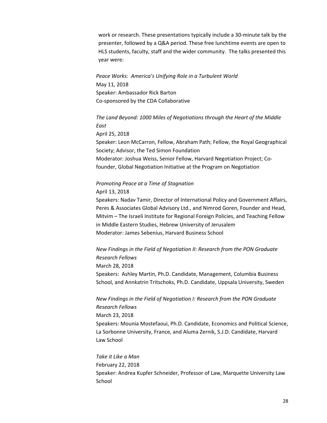work or research. These presentations typically include a 30‐minute talk by the presenter, followed by a Q&A period. These free lunchtime events are open to HLS students, faculty, staff and the wider community. The talks presented this year were:

*Peace Works: America's Unifying Role in a Turbulent World*  May 11, 2018 Speaker: Ambassador Rick Barton Co‐sponsored by the CDA Collaborative

*The Land Beyond: 1000 Miles of Negotiations through the Heart of the Middle East* April 25, 2018 Speaker: Leon McCarron, Fellow, Abraham Path; Fellow, the Royal Geographical Society; Advisor, the Ted Simon Foundation Moderator: Joshua Weiss, Senior Fellow, Harvard Negotiation Project; Co‐ founder, Global Negotiation Initiative at the Program on Negotiation

#### *Promoting Peace at a Time of Stagnation* April 13, 2018

Speakers: Nadav Tamir, Director of International Policy and Government Affairs, Peres & Associates Global Advisory Ltd., and Nimrod Goren, Founder and Head, Mitvim – The Israeli Institute for Regional Foreign Policies, and Teaching Fellow in Middle Eastern Studies, Hebrew University of Jerusalem Moderator: James Sebenius, Harvard Business School

*New Findings in the Field of Negotiation II: Research from the PON Graduate Research Fellows* March 28, 2018 Speakers: Ashley Martin, Ph.D. Candidate, Management, Columbia Business School, and Annkatrin Tritschoks, Ph.D. Candidate, Uppsala University, Sweden

*New Findings in the Field of Negotiation I: Research from the PON Graduate Research Fellows*  March 23, 2018 Speakers: Mounia Mostefaoui, Ph.D. Candidate, Economics and Political Science, La Sorbonne University, France, and Aluma Zernik, S.J.D. Candidate, Harvard Law School

*Take it Like a Man* February 22, 2018 Speaker: Andrea Kupfer Schneider, Professor of Law, Marquette University Law **School**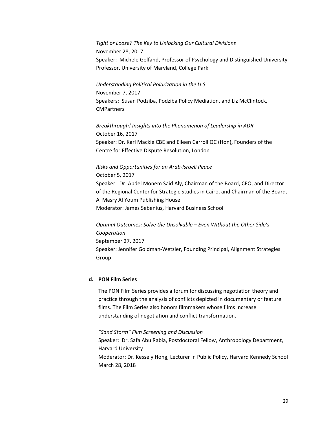#### *Tight or Loose? The Key to Unlocking Our Cultural Divisions*

November 28, 2017 Speaker: Michele Gelfand, Professor of Psychology and Distinguished University Professor, University of Maryland, College Park

*Understanding Political Polarization in the U.S.* November 7, 2017 Speakers: Susan Podziba, Podziba Policy Mediation, and Liz McClintock, **CMPartners** 

*Breakthrough! Insights into the Phenomenon of Leadership in ADR* October 16, 2017 Speaker: Dr. Karl Mackie CBE and Eileen Carroll QC (Hon), Founders of the Centre for Effective Dispute Resolution, London

#### *Risks and Opportunities for an Arab‐Israeli Peace*

October 5, 2017 Speaker: Dr. Abdel Monem Said Aly, Chairman of the Board, CEO, and Director of the Regional Center for Strategic Studies in Cairo, and Chairman of the Board, Al Masry Al Youm Publishing House Moderator: James Sebenius, Harvard Business School

*Optimal Outcomes: Solve the Unsolvable – Even Without the Other Side's Cooperation* September 27, 2017 Speaker: Jennifer Goldman‐Wetzler, Founding Principal, Alignment Strategies Group

#### **d. PON Film Series**

The PON Film Series provides a forum for discussing negotiation theory and practice through the analysis of conflicts depicted in documentary or feature films. The Film Series also honors filmmakers whose films increase understanding of negotiation and conflict transformation.

### *"Sand Storm" Film Screening and Discussion*

Speaker: Dr. Safa Abu Rabia, Postdoctoral Fellow, Anthropology Department, Harvard University Moderator: Dr. Kessely Hong, Lecturer in Public Policy, Harvard Kennedy School March 28, 2018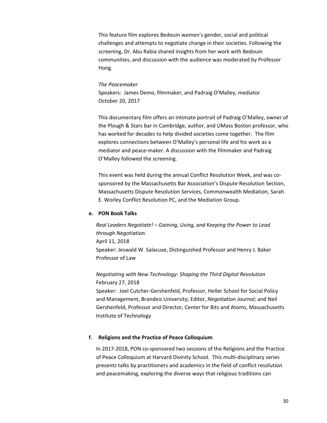This feature film explores Bedouin women's gender, social and political challenges and attempts to negotiate change in their societies. Following the screening, Dr. Abu Rabia shared insights from her work with Bedouin communities, and discussion with the audience was moderated by Professor Hong.

#### *The Peacemaker*

Speakers: James Demo, filmmaker, and Padraig O'Malley, mediator October 20, 2017

This documentary film offers an intimate portrait of Padraig O'Malley, owner of the Plough & Stars bar in Cambridge, author, and UMass Boston professor, who has worked for decades to help divided societies come together. The film explores connections between O'Malley's personal life and his work as a mediator and peace‐maker. A discussion with the filmmaker and Padraig O'Malley followed the screening.

This event was held during the annual Conflict Resolution Week, and was co‐ sponsored by the Massachusetts Bar Association's Dispute Resolution Section, Massachusetts Dispute Resolution Services, Commonwealth Mediation, Sarah E. Worley Conflict Resolution PC, and the Mediation Group.

#### **e. PON Book Talks**

*Real Leaders Negotiate! – Gaining, Using, and Keeping the Power to Lead through Negotiation.* April 11, 2018 Speaker: Jeswald W. Salacuse, Distinguished Professor and Henry J. Baker Professor of Law

*Negotiating with New Technology: Shaping the Third Digital Revolution* February 27, 2018

Speaker: Joel Cutcher‐Gershenfeld, Professor, Heller School for Social Policy and Management, Brandeis University; Editor, *Negotiation Journal;* and Neil Gershenfeld, Professor and Director, Center for Bits and Atoms, Massachusetts Institute of Technology

#### **f. Religions and the Practice of Peace Colloquium**

In 2017-2018, PON co-sponsored two sessions of the Religions and the Practice of Peace Colloquium at Harvard Divinity School. This multi‐disciplinary series presents talks by practitioners and academics in the field of conflict resolution and peacemaking, exploring the diverse ways that religious traditions can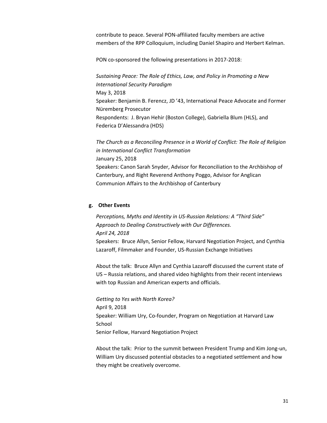contribute to peace. Several PON‐affiliated faculty members are active members of the RPP Colloquium, including Daniel Shapiro and Herbert Kelman.

PON co-sponsored the following presentations in 2017-2018:

*Sustaining Peace: The Role of Ethics, Law, and Policy in Promoting a New International Security Paradigm* May 3, 2018 Speaker: Benjamin B. Ferencz, JD '43, International Peace Advocate and Former Nüremberg Prosecutor Respondents: J. Bryan Hehir (Boston College), Gabriella Blum (HLS), and Federica D'Alessandra (HDS)

*The Church as a Reconciling Presence in a World of Conflict: The Role of Religion in International Conflict Transformation*  January 25, 2018 Speakers: Canon Sarah Snyder, Advisor for Reconciliation to the Archbishop of Canterbury, and Right Reverend Anthony Poggo, Advisor for Anglican Communion Affairs to the Archbishop of Canterbury

#### **g. Other Events**

*Perceptions, Myths and Identity in US‐Russian Relations: A "Third Side" Approach to Dealing Constructively with Our Differences. April 24, 2018* Speakers: Bruce Allyn, Senior Fellow, Harvard Negotiation Project, and Cynthia Lazaroff, Filmmaker and Founder, US‐Russian Exchange Initiatives

About the talk: Bruce Allyn and Cynthia Lazaroff discussed the current state of US – Russia relations, and shared video highlights from their recent interviews with top Russian and American experts and officials.

*Getting to Yes with North Korea?* April 9, 2018 Speaker: William Ury, Co‐founder, Program on Negotiation at Harvard Law School Senior Fellow, Harvard Negotiation Project

About the talk: Prior to the summit between President Trump and Kim Jong-un, William Ury discussed potential obstacles to a negotiated settlement and how they might be creatively overcome.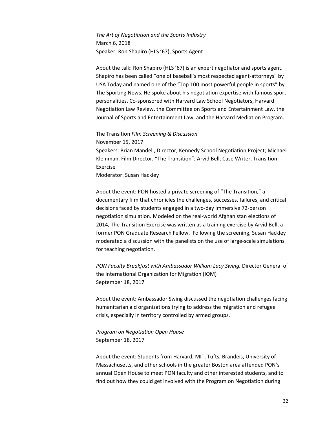*The Art of Negotiation and the Sports Industry* March 6, 2018 Speaker: Ron Shapiro (HLS '67), Sports Agent

About the talk: Ron Shapiro (HLS '67) is an expert negotiator and sports agent. Shapiro has been called "one of baseball's most respected agent‐attorneys" by USA Today and named one of the "Top 100 most powerful people in sports" by The Sporting News. He spoke about his negotiation expertise with famous sport personalities. Co‐sponsored with Harvard Law School Negotiators, Harvard Negotiation Law Review, the Committee on Sports and Entertainment Law, the Journal of Sports and Entertainment Law, and the Harvard Mediation Program.

The Transition *Film Screening & Discussion* 

November 15, 2017 Speakers: Brian Mandell, Director, Kennedy School Negotiation Project; Michael Kleinman, Film Director, "The Transition"; Arvid Bell, Case Writer, Transition Exercise

Moderator: Susan Hackley

About the event: PON hosted a private screening of "The Transition," a documentary film that chronicles the challenges, successes, failures, and critical decisions faced by students engaged in a two‐day immersive 72‐person negotiation simulation. Modeled on the real‐world Afghanistan elections of 2014, The Transition Exercise was written as a training exercise by Arvid Bell, a former PON Graduate Research Fellow. Following the screening, Susan Hackley moderated a discussion with the panelists on the use of large‐scale simulations for teaching negotiation.

*PON Faculty Breakfast with Ambassador William Lacy Swing,* Director General of the International Organization for Migration (IOM) September 18, 2017

About the event: Ambassador Swing discussed the negotiation challenges facing humanitarian aid organizations trying to address the migration and refugee crisis, especially in territory controlled by armed groups.

*Program on Negotiation Open House*  September 18, 2017

About the event: Students from Harvard, MIT, Tufts, Brandeis, University of Massachusetts, and other schools in the greater Boston area attended PON's annual Open House to meet PON faculty and other interested students, and to find out how they could get involved with the Program on Negotiation during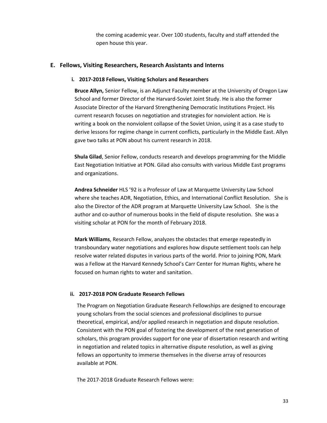the coming academic year. Over 100 students, faculty and staff attended the open house this year.

#### **E. Fellows, Visiting Researchers, Research Assistants and Interns**

#### **i. 2017‐2018 Fellows, Visiting Scholars and Researchers**

**Bruce Allyn,** Senior Fellow, is an Adjunct Faculty member at the University of Oregon Law School and former Director of the Harvard‐Soviet Joint Study. He is also the former Associate Director of the Harvard Strengthening Democratic Institutions Project. His current research focuses on negotiation and strategies for nonviolent action. He is writing a book on the nonviolent collapse of the Soviet Union, using it as a case study to derive lessons for regime change in current conflicts, particularly in the Middle East. Allyn gave two talks at PON about his current research in 2018.

**Shula Gilad**, Senior Fellow, conducts research and develops programming for the Middle East Negotiation Initiative at PON. Gilad also consults with various Middle East programs and organizations.

**Andrea Schneider** HLS '92 is a Professor of Law at Marquette University Law School where she teaches ADR, Negotiation, Ethics, and International Conflict Resolution. She is also the Director of the ADR program at Marquette University Law School. She is the author and co-author of numerous books in the field of dispute resolution. She was a visiting scholar at PON for the month of February 2018.

**Mark Williams**, Research Fellow, analyzes the obstacles that emerge repeatedly in transboundary water negotiations and explores how dispute settlement tools can help resolve water related disputes in various parts of the world. Prior to joining PON, Mark was a Fellow at the Harvard Kennedy School's Carr Center for Human Rights, where he focused on human rights to water and sanitation.

#### **ii. 2017‐2018 PON Graduate Research Fellows**

The Program on Negotiation Graduate Research Fellowships are designed to encourage young scholars from the social sciences and professional disciplines to pursue theoretical, empirical, and/or applied research in negotiation and dispute resolution. Consistent with the PON goal of fostering the development of the next generation of scholars, this program provides support for one year of dissertation research and writing in negotiation and related topics in alternative dispute resolution, as well as giving fellows an opportunity to immerse themselves in the diverse array of resources available at PON.

The 2017‐2018 Graduate Research Fellows were: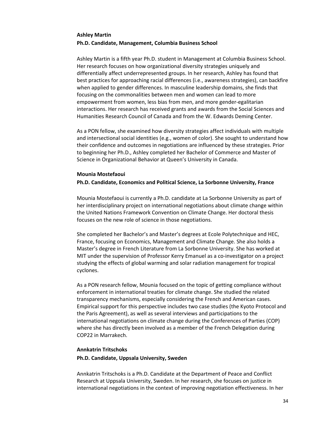#### **Ashley Martin Ph.D. Candidate, Management, Columbia Business School**

Ashley Martin is a fifth year Ph.D. student in Management at Columbia Business School. Her research focuses on how organizational diversity strategies uniquely and differentially affect underrepresented groups. In her research, Ashley has found that best practices for approaching racial differences (i.e., awareness strategies), can backfire when applied to gender differences. In masculine leadership domains, she finds that focusing on the commonalities between men and women can lead to more empowerment from women, less bias from men, and more gender‐egalitarian interactions. Her research has received grants and awards from the Social Sciences and Humanities Research Council of Canada and from the W. Edwards Deming Center.

As a PON fellow, she examined how diversity strategies affect individuals with multiple and intersectional social identities (e.g., women of color). She sought to understand how their confidence and outcomes in negotiations are influenced by these strategies. Prior to beginning her Ph.D., Ashley completed her Bachelor of Commerce and Master of Science in Organizational Behavior at Queen's University in Canada.

#### **Mounia Mostefaoui**

#### **Ph.D. Candidate, Economics and Political Science, La Sorbonne University, France**

Mounia Mostefaoui is currently a Ph.D. candidate at La Sorbonne University as part of her interdisciplinary project on international negotiations about climate change within the United Nations Framework Convention on Climate Change. Her doctoral thesis focuses on the new role of science in those negotiations.

She completed her Bachelor's and Master's degrees at Ecole Polytechnique and HEC, France, focusing on Economics, Management and Climate Change. She also holds a Master's degree in French Literature from La Sorbonne University. She has worked at MIT under the supervision of Professor Kerry Emanuel as a co-investigator on a project studying the effects of global warming and solar radiation management for tropical cyclones.

As a PON research fellow, Mounia focused on the topic of getting compliance without enforcement in international treaties for climate change. She studied the related transparency mechanisms, especially considering the French and American cases. Empirical support for this perspective includes two case studies (the Kyoto Protocol and the Paris Agreement), as well as several interviews and participations to the international negotiations on climate change during the Conferences of Parties (COP) where she has directly been involved as a member of the French Delegation during COP22 in Marrakech.

#### **Annkatrin Tritschoks Ph.D. Candidate, Uppsala University, Sweden**

Annkatrin Tritschoks is a Ph.D. Candidate at the Department of Peace and Conflict Research at Uppsala University, Sweden. In her research, she focuses on justice in international negotiations in the context of improving negotiation effectiveness. In her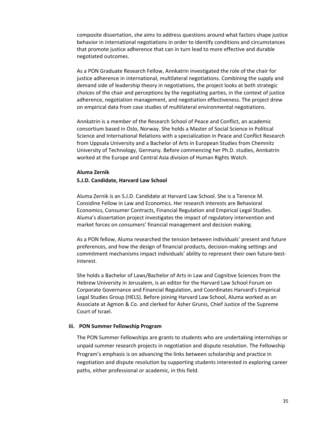composite dissertation, she aims to address questions around what factors shape justice behavior in international negotiations in order to identify conditions and circumstances that promote justice adherence that can in turn lead to more effective and durable negotiated outcomes.

As a PON Graduate Research Fellow, Annkatrin investigated the role of the chair for justice adherence in international, multilateral negotiations. Combining the supply and demand side of leadership theory in negotiations, the project looks at both strategic choices of the chair and perceptions by the negotiating parties, in the context of justice adherence, negotiation management, and negotiation effectiveness. The project drew on empirical data from case studies of multilateral environmental negotiations.

Annkatrin is a member of the Research School of Peace and Conflict, an academic consortium based in Oslo, Norway. She holds a Master of Social Science in Political Science and International Relations with a specialization in Peace and Conflict Research from Uppsala University and a Bachelor of Arts in European Studies from Chemnitz University of Technology, Germany. Before commencing her Ph.D. studies, Annkatrin worked at the Europe and Central Asia division of Human Rights Watch.

#### **Aluma Zernik**

#### **S.J.D. Candidate, Harvard Law School**

Aluma Zernik is an S.J.D. Candidate at Harvard Law School. She is a Terence M. Considine Fellow in Law and Economics. Her research interests are Behavioral Economics, Consumer Contracts, Financial Regulation and Empirical Legal Studies. Aluma's dissertation project investigates the impact of regulatory intervention and market forces on consumers' financial management and decision making.

As a PON fellow, Aluma researched the tension between individuals' present and future preferences, and how the design of financial products, decision‐making settings and commitment mechanisms impact individuals' ability to represent their own future‐best‐ interest.

She holds a Bachelor of Laws/Bachelor of Arts in Law and Cognitive Sciences from the Hebrew University in Jerusalem, is an editor for the Harvard Law School Forum on Corporate Governance and Financial Regulation, and Coordinates Harvard's Empirical Legal Studies Group (HELS). Before joining Harvard Law School, Aluma worked as an Associate at Agmon & Co. and clerked for Asher Grunis, Chief Justice of the Supreme Court of Israel.

#### **iii. PON Summer Fellowship Program**

The PON Summer Fellowships are grants to students who are undertaking internships or unpaid summer research projects in negotiation and dispute resolution. The Fellowship Program's emphasis is on advancing the links between scholarship and practice in negotiation and dispute resolution by supporting students interested in exploring career paths, either professional or academic, in this field.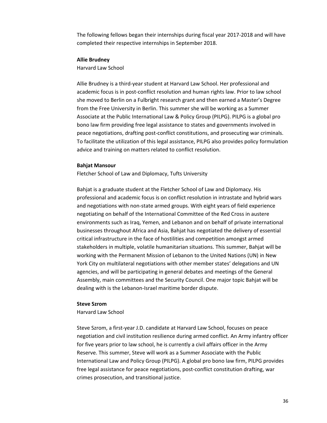The following fellows began their internships during fiscal year 2017‐2018 and will have completed their respective internships in September 2018.

#### **Allie Brudney**

Harvard Law School

Allie Brudney is a third‐year student at Harvard Law School. Her professional and academic focus is in post-conflict resolution and human rights law. Prior to law school she moved to Berlin on a Fulbright research grant and then earned a Master's Degree from the Free University in Berlin. This summer she will be working as a Summer Associate at the Public International Law & Policy Group (PILPG). PILPG is a global pro bono law firm providing free legal assistance to states and governments involved in peace negotiations, drafting post‐conflict constitutions, and prosecuting war criminals. To facilitate the utilization of this legal assistance, PILPG also provides policy formulation advice and training on matters related to conflict resolution.

#### **Bahjat Mansour**

Fletcher School of Law and Diplomacy, Tufts University

Bahjat is a graduate student at the Fletcher School of Law and Diplomacy. His professional and academic focus is on conflict resolution in intrastate and hybrid wars and negotiations with non-state armed groups. With eight years of field experience negotiating on behalf of the International Committee of the Red Cross in austere environments such as Iraq, Yemen, and Lebanon and on behalf of private international businesses throughout Africa and Asia, Bahjat has negotiated the delivery of essential critical infrastructure in the face of hostilities and competition amongst armed stakeholders in multiple, volatile humanitarian situations. This summer, Bahjat will be working with the Permanent Mission of Lebanon to the United Nations (UN) in New York City on multilateral negotiations with other member states' delegations and UN agencies, and will be participating in general debates and meetings of the General Assembly, main committees and the Security Council. One major topic Bahjat will be dealing with is the Lebanon‐Israel maritime border dispute.

#### **Steve Szrom**

Harvard Law School

Steve Szrom, a first‐year J.D. candidate at Harvard Law School, focuses on peace negotiation and civil institution resilience during armed conflict. An Army infantry officer for five years prior to law school, he is currently a civil affairs officer in the Army Reserve. This summer, Steve will work as a Summer Associate with the Public International Law and Policy Group (PILPG). A global pro bono law firm, PILPG provides free legal assistance for peace negotiations, post-conflict constitution drafting, war crimes prosecution, and transitional justice.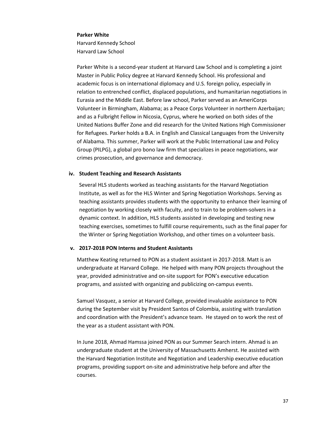#### **Parker White**

Harvard Kennedy School Harvard Law School

Parker White is a second‐year student at Harvard Law School and is completing a joint Master in Public Policy degree at Harvard Kennedy School. His professional and academic focus is on international diplomacy and U.S. foreign policy, especially in relation to entrenched conflict, displaced populations, and humanitarian negotiations in Eurasia and the Middle East. Before law school, Parker served as an AmeriCorps Volunteer in Birmingham, Alabama; as a Peace Corps Volunteer in northern Azerbaijan; and as a Fulbright Fellow in Nicosia, Cyprus, where he worked on both sides of the United Nations Buffer Zone and did research for the United Nations High Commissioner for Refugees. Parker holds a B.A. in English and Classical Languages from the University of Alabama. This summer, Parker will work at the Public International Law and Policy Group (PILPG), a global pro bono law firm that specializes in peace negotiations, war crimes prosecution, and governance and democracy.

#### **iv. Student Teaching and Research Assistants**

Several HLS students worked as teaching assistants for the Harvard Negotiation Institute, as well as for the HLS Winter and Spring Negotiation Workshops. Serving as teaching assistants provides students with the opportunity to enhance their learning of negotiation by working closely with faculty, and to train to be problem‐solvers in a dynamic context. In addition, HLS students assisted in developing and testing new teaching exercises, sometimes to fulfill course requirements, such as the final paper for the Winter or Spring Negotiation Workshop, and other times on a volunteer basis.

#### **v. 2017‐2018 PON Interns and Student Assistants**

Matthew Keating returned to PON as a student assistant in 2017‐2018. Matt is an undergraduate at Harvard College. He helped with many PON projects throughout the year, provided administrative and on‐site support for PON's executive education programs, and assisted with organizing and publicizing on‐campus events.

Samuel Vasquez, a senior at Harvard College, provided invaluable assistance to PON during the September visit by President Santos of Colombia, assisting with translation and coordination with the President's advance team. He stayed on to work the rest of the year as a student assistant with PON.

In June 2018, Ahmad Hamssa joined PON as our Summer Search intern. Ahmad is an undergraduate student at the University of Massachusetts Amherst. He assisted with the Harvard Negotiation Institute and Negotiation and Leadership executive education programs, providing support on‐site and administrative help before and after the courses.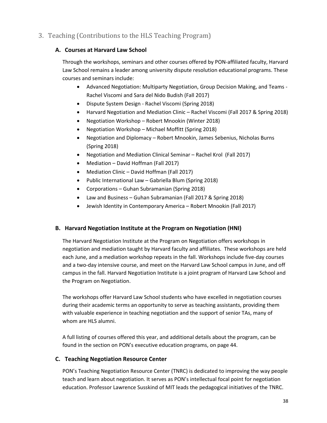#### 3. Teaching (Contributions to the HLS Teaching Program)

#### **A. Courses at Harvard Law School**

Through the workshops, seminars and other courses offered by PON‐affiliated faculty, Harvard Law School remains a leader among university dispute resolution educational programs. These courses and seminars include:

- Advanced Negotiation: Multiparty Negotiation, Group Decision Making, and Teams ‐ Rachel Viscomi and Sara del Nido Budish (Fall 2017)
- Dispute System Design Rachel Viscomi (Spring 2018)
- Harvard Negotiation and Mediation Clinic Rachel Viscomi (Fall 2017 & Spring 2018)
- Negotiation Workshop Robert Mnookin (Winter 2018)
- Negotiation Workshop Michael Moffitt (Spring 2018)
- Negotiation and Diplomacy Robert Mnookin, James Sebenius, Nicholas Burns (Spring 2018)
- Negotiation and Mediation Clinical Seminar Rachel Krol (Fall 2017)
- Mediation David Hoffman (Fall 2017)
- Mediation Clinic David Hoffman (Fall 2017)
- Public International Law Gabriella Blum (Spring 2018)
- Corporations Guhan Subramanian (Spring 2018)
- Law and Business Guhan Subramanian (Fall 2017 & Spring 2018)
- Jewish Identity in Contemporary America Robert Mnookin (Fall 2017)

#### **B. Harvard Negotiation Institute at the Program on Negotiation (HNI)**

The Harvard Negotiation Institute at the Program on Negotiation offers workshops in negotiation and mediation taught by Harvard faculty and affiliates. These workshops are held each June, and a mediation workshop repeats in the fall. Workshops include five‐day courses and a two‐day intensive course, and meet on the Harvard Law School campus in June, and off campus in the fall. Harvard Negotiation Institute is a joint program of Harvard Law School and the Program on Negotiation.

The workshops offer Harvard Law School students who have excelled in negotiation courses during their academic terms an opportunity to serve as teaching assistants, providing them with valuable experience in teaching negotiation and the support of senior TAs, many of whom are HLS alumni.

A full listing of courses offered this year, and additional details about the program, can be found in the section on PON's executive education programs, on page 44.

#### **C. Teaching Negotiation Resource Center**

PON's Teaching Negotiation Resource Center (TNRC) is dedicated to improving the way people teach and learn about negotiation. It serves as PON's intellectual focal point for negotiation education. Professor Lawrence Susskind of MIT leads the pedagogical initiatives of the TNRC.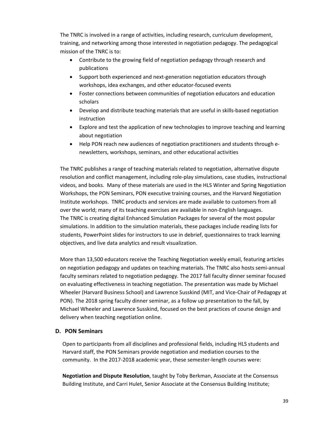The TNRC is involved in a range of activities, including research, curriculum development, training, and networking among those interested in negotiation pedagogy. The pedagogical mission of the TNRC is to:

- Contribute to the growing field of negotiation pedagogy through research and publications
- Support both experienced and next-generation negotiation educators through workshops, idea exchanges, and other educator‐focused events
- Foster connections between communities of negotiation educators and education scholars
- Develop and distribute teaching materials that are useful in skills-based negotiation instruction
- Explore and test the application of new technologies to improve teaching and learning about negotiation
- Help PON reach new audiences of negotiation practitioners and students through enewsletters, workshops, seminars, and other educational activities

The TNRC publishes a range of teaching materials related to negotiation, alternative dispute resolution and conflict management, including role‐play simulations, case studies, instructional videos, and books. Many of these materials are used in the HLS Winter and Spring Negotiation Workshops, the PON Seminars, PON executive training courses, and the Harvard Negotiation Institute workshops. TNRC products and services are made available to customers from all over the world; many of its teaching exercises are available in non‐English languages. The TNRC is creating digital Enhanced Simulation Packages for several of the most popular simulations. In addition to the simulation materials, these packages include reading lists for students, PowerPoint slides for instructors to use in debrief, questionnaires to track learning objectives, and live data analytics and result visualization.

More than 13,500 educators receive the Teaching Negotiation weekly email, featuring articles on negotiation pedagogy and updates on teaching materials. The TNRC also hosts semi‐annual faculty seminars related to negotiation pedagogy. The 2017 fall faculty dinner seminar focused on evaluating effectiveness in teaching negotiation. The presentation was made by Michael Wheeler (Harvard Business School) and Lawrence Susskind (MIT, and Vice‐Chair of Pedagogy at PON). The 2018 spring faculty dinner seminar, as a follow up presentation to the fall, by Michael Wheeler and Lawrence Susskind, focused on the best practices of course design and delivery when teaching negotiation online.

#### **D. PON Seminars**

Open to participants from all disciplines and professional fields, including HLS students and Harvard staff, the PON Seminars provide negotiation and mediation courses to the community. In the 2017‐2018 academic year, these semester‐length courses were:

**Negotiation and Dispute Resolution**, taught by Toby Berkman, Associate at the Consensus Building Institute, and Carri Hulet, Senior Associate at the Consensus Building Institute;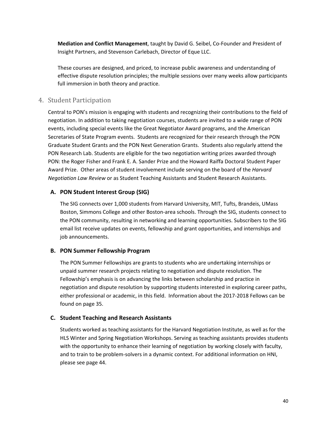**Mediation and Conflict Management**, taught by David G. Seibel, Co‐Founder and President of Insight Partners, and Stevenson Carlebach, Director of Eque LLC.

These courses are designed, and priced, to increase public awareness and understanding of effective dispute resolution principles; the multiple sessions over many weeks allow participants full immersion in both theory and practice.

#### 4. Student Participation

Central to PON's mission is engaging with students and recognizing their contributions to the field of negotiation. In addition to taking negotiation courses, students are invited to a wide range of PON events, including special events like the Great Negotiator Award programs, and the American Secretaries of State Program events. Students are recognized for their research through the PON Graduate Student Grants and the PON Next Generation Grants. Students also regularly attend the PON Research Lab. Students are eligible for the two negotiation writing prizes awarded through PON: the Roger Fisher and Frank E. A. Sander Prize and the Howard Raiffa Doctoral Student Paper Award Prize. Other areas of student involvement include serving on the board of the *Harvard Negotiation Law Review* or as Student Teaching Assistants and Student Research Assistants.

#### **A. PON Student Interest Group (SIG)**

The SIG connects over 1,000 students from Harvard University, MIT, Tufts, Brandeis, UMass Boston, Simmons College and other Boston‐area schools. Through the SIG, students connect to the PON community, resulting in networking and learning opportunities. Subscribers to the SIG email list receive updates on events, fellowship and grant opportunities, and internships and job announcements.

#### **B. PON Summer Fellowship Program**

The PON Summer Fellowships are grants to students who are undertaking internships or unpaid summer research projects relating to negotiation and dispute resolution. The Fellowship's emphasis is on advancing the links between scholarship and practice in negotiation and dispute resolution by supporting students interested in exploring career paths, either professional or academic, in this field. Information about the 2017‐2018 Fellows can be found on page 35.

#### **C. Student Teaching and Research Assistants**

Students worked as teaching assistants for the Harvard Negotiation Institute, as well as for the HLS Winter and Spring Negotiation Workshops. Serving as teaching assistants provides students with the opportunity to enhance their learning of negotiation by working closely with faculty, and to train to be problem‐solvers in a dynamic context. For additional information on HNI, please see page 44.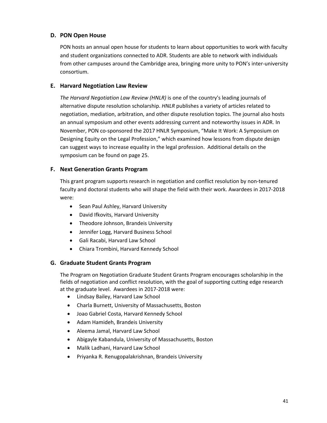#### **D. PON Open House**

PON hosts an annual open house for students to learn about opportunities to work with faculty and student organizations connected to ADR. Students are able to network with individuals from other campuses around the Cambridge area, bringing more unity to PON's inter-university consortium.

#### **E. Harvard Negotiation Law Review**

*The Harvard Negotiation Law Review (HNLR)* is one of the country's leading journals of alternative dispute resolution scholarship. *HNLR* publishes a variety of articles related to negotiation, mediation, arbitration, and other dispute resolution topics. The journal also hosts an annual symposium and other events addressing current and noteworthy issues in ADR. In November, PON co‐sponsored the 2017 HNLR Symposium, "Make It Work: A Symposium on Designing Equity on the Legal Profession," which examined how lessons from dispute design can suggest ways to increase equality in the legal profession. Additional details on the symposium can be found on page 25.

#### **F. Next Generation Grants Program**

This grant program supports research in negotiation and conflict resolution by non‐tenured faculty and doctoral students who will shape the field with their work. Awardees in 2017‐2018 were:

- Sean Paul Ashley, Harvard University
- David Ifkovits, Harvard University
- Theodore Johnson, Brandeis University
- Jennifer Logg, Harvard Business School
- Gali Racabi, Harvard Law School
- Chiara Trombini, Harvard Kennedy School

#### **G. Graduate Student Grants Program**

The Program on Negotiation Graduate Student Grants Program encourages scholarship in the fields of negotiation and conflict resolution, with the goal of supporting cutting edge research at the graduate level. Awardees in 2017‐2018 were:

- Lindsay Bailey, Harvard Law School
- Charla Burnett, University of Massachusetts, Boston
- Joao Gabriel Costa, Harvard Kennedy School
- Adam Hamideh, Brandeis University
- Aleema Jamal, Harvard Law School
- Abigayle Kabandula, University of Massachusetts, Boston
- Malik Ladhani, Harvard Law School
- Priyanka R. Renugopalakrishnan, Brandeis University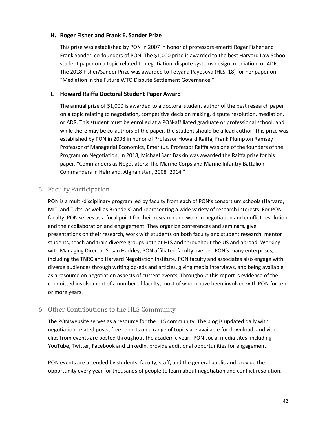#### **H. Roger Fisher and Frank E. Sander Prize**

This prize was established by PON in 2007 in honor of professors emeriti Roger Fisher and Frank Sander, co-founders of PON. The \$1,000 prize is awarded to the best Harvard Law School student paper on a topic related to negotiation, dispute systems design, mediation, or ADR. The 2018 Fisher/Sander Prize was awarded to Tetyana Payosova (HLS '18) for her paper on "Mediation in the Future WTO Dispute Settlement Governance."

#### **I. Howard Raiffa Doctoral Student Paper Award**

The annual prize of \$1,000 is awarded to a doctoral student author of the best research paper on a topic relating to negotiation, competitive decision making, dispute resolution, mediation, or ADR. This student must be enrolled at a PON‐affiliated graduate or professional school, and while there may be co-authors of the paper, the student should be a lead author. This prize was established by PON in 2008 in honor of Professor Howard Raiffa, Frank Plumpton Ramsey Professor of Managerial Economics, Emeritus. Professor Raiffa was one of the founders of the Program on Negotiation. In 2018, Michael Sam Baskin was awarded the Raiffa prize for his paper, "Commanders as Negotiators: The Marine Corps and Marine Infantry Battalion Commanders in Helmand, Afghanistan, 2008–2014."

#### 5. Faculty Participation

PON is a multi-disciplinary program led by faculty from each of PON's consortium schools (Harvard, MIT, and Tufts, as well as Brandeis) and representing a wide variety of research interests. For PON faculty, PON serves as a focal point for their research and work in negotiation and conflict resolution and their collaboration and engagement. They organize conferences and seminars, give presentations on their research, work with students on both faculty and student research, mentor students, teach and train diverse groups both at HLS and throughout the US and abroad. Working with Managing Director Susan Hackley, PON affiliated faculty oversee PON's many enterprises, including the TNRC and Harvard Negotiation Institute. PON faculty and associates also engage with diverse audiences through writing op‐eds and articles, giving media interviews, and being available as a resource on negotiation aspects of current events. Throughout this report is evidence of the committed involvement of a number of faculty, most of whom have been involved with PON for ten or more years.

#### 6. Other Contributions to the HLS Community

The PON website serves as a resource for the HLS community. The blog is updated daily with negotiation‐related posts; free reports on a range of topics are available for download; and video clips from events are posted throughout the academic year. PON social media sites, including YouTube, Twitter, Facebook and LinkedIn, provide additional opportunities for engagement.

PON events are attended by students, faculty, staff, and the general public and provide the opportunity every year for thousands of people to learn about negotiation and conflict resolution.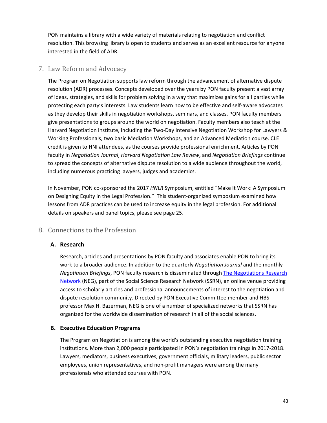PON maintains a library with a wide variety of materials relating to negotiation and conflict resolution. This browsing library is open to students and serves as an excellent resource for anyone interested in the field of ADR.

#### 7. Law Reform and Advocacy

The Program on Negotiation supports law reform through the advancement of alternative dispute resolution (ADR) processes. Concepts developed over the years by PON faculty present a vast array of ideas, strategies, and skills for problem solving in a way that maximizes gains for all parties while protecting each party's interests. Law students learn how to be effective and self‐aware advocates as they develop their skills in negotiation workshops, seminars, and classes. PON faculty members give presentations to groups around the world on negotiation. Faculty members also teach at the Harvard Negotiation Institute, including the Two‐Day Intensive Negotiation Workshop for Lawyers & Working Professionals, two basic Mediation Workshops, and an Advanced Mediation course. CLE credit is given to HNI attendees, as the courses provide professional enrichment. Articles by PON faculty in *Negotiation Journal*, *Harvard Negotiation Law Review*, and *Negotiation Briefings* continue to spread the concepts of alternative dispute resolution to a wide audience throughout the world, including numerous practicing lawyers, judges and academics.

In November, PON co‐sponsored the 2017 *HNLR* Symposium, entitled "Make It Work: A Symposium on Designing Equity in the Legal Profession." This student-organized symposium examined how lessons from ADR practices can be used to increase equity in the legal profession. For additional details on speakers and panel topics, please see page 25.

#### 8. Connections to the Profession

#### **A. Research**

Research, articles and presentations by PON faculty and associates enable PON to bring its work to a broader audience. In addition to the quarterly *Negotiation Journal* and the monthly *Negotiation Briefings*, PON faculty research is disseminated through The Negotiations Research Network (NEG), part of the Social Science Research Network (SSRN), an online venue providing access to scholarly articles and professional announcements of interest to the negotiation and dispute resolution community. Directed by PON Executive Committee member and HBS professor Max H. Bazerman, NEG is one of a number of specialized networks that SSRN has organized for the worldwide dissemination of research in all of the social sciences.

#### **B. Executive Education Programs**

The Program on Negotiation is among the world's outstanding executive negotiation training institutions. More than 2,000 people participated in PON's negotiation trainings in 2017‐2018. Lawyers, mediators, business executives, government officials, military leaders, public sector employees, union representatives, and non‐profit managers were among the many professionals who attended courses with PON.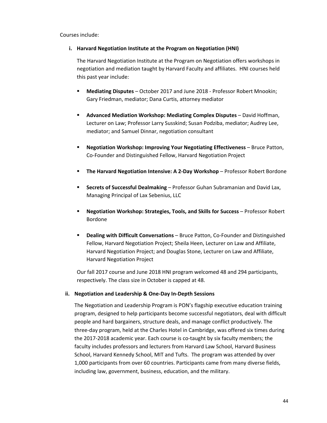Courses include:

#### **i. Harvard Negotiation Institute at the Program on Negotiation (HNI)**

The Harvard Negotiation Institute at the Program on Negotiation offers workshops in negotiation and mediation taught by Harvard Faculty and affiliates. HNI courses held this past year include:

- **Mediating Disputes** October 2017 and June 2018 ‐ Professor Robert Mnookin; Gary Friedman, mediator; Dana Curtis, attorney mediator
- **Advanced Mediation Workshop: Mediating Complex Disputes** David Hoffman, Lecturer on Law; Professor Larry Susskind; Susan Podziba, mediator; Audrey Lee, mediator; and Samuel Dinnar, negotiation consultant
- **Negotiation Workshop: Improving Your Negotiating Effectiveness** Bruce Patton, Co‐Founder and Distinguished Fellow, Harvard Negotiation Project
- **The Harvard Negotiation Intensive: A 2‐Day Workshop** Professor Robert Bordone
- **Secrets of Successful Dealmaking** Professor Guhan Subramanian and David Lax, Managing Principal of Lax Sebenius, LLC
- **Negotiation Workshop: Strategies, Tools, and Skills for Success** Professor Robert Bordone
- **Dealing with Difficult Conversations** Bruce Patton, Co‐Founder and Distinguished Fellow, Harvard Negotiation Project; Sheila Heen, Lecturer on Law and Affiliate, Harvard Negotiation Project; and Douglas Stone, Lecturer on Law and Affiliate, Harvard Negotiation Project

Our fall 2017 course and June 2018 HNI program welcomed 48 and 294 participants, respectively. The class size in October is capped at 48.

#### **ii. Negotiation and Leadership & One‐Day In‐Depth Sessions**

The Negotiation and Leadership Program is PON's flagship executive education training program, designed to help participants become successful negotiators, deal with difficult people and hard bargainers, structure deals, and manage conflict productively. The three‐day program, held at the Charles Hotel in Cambridge, was offered six times during the 2017-2018 academic year. Each course is co-taught by six faculty members; the faculty includes professors and lecturers from Harvard Law School, Harvard Business School, Harvard Kennedy School, MIT and Tufts. The program was attended by over 1,000 participants from over 60 countries. Participants came from many diverse fields, including law, government, business, education, and the military.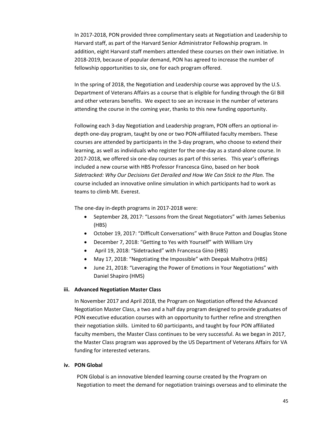In 2017‐2018, PON provided three complimentary seats at Negotiation and Leadership to Harvard staff, as part of the Harvard Senior Administrator Fellowship program. In addition, eight Harvard staff members attended these courses on their own initiative. In 2018‐2019, because of popular demand, PON has agreed to increase the number of fellowship opportunities to six, one for each program offered.

In the spring of 2018, the Negotiation and Leadership course was approved by the U.S. Department of Veterans Affairs as a course that is eligible for funding through the GI Bill and other veterans benefits. We expect to see an increase in the number of veterans attending the course in the coming year, thanks to this new funding opportunity.

Following each 3‐day Negotiation and Leadership program, PON offers an optional in‐ depth one‐day program, taught by one or two PON‐affiliated faculty members. These courses are attended by participants in the 3‐day program, who choose to extend their learning, as well as individuals who register for the one-day as a stand-alone course. In 2017-2018, we offered six one-day courses as part of this series. This year's offerings included a new course with HBS Professor Francesca Gino, based on her book *Sidetracked: Why Our Decisions Get Derailed and How We Can Stick to the Plan.* The course included an innovative online simulation in which participants had to work as teams to climb Mt. Everest.

The one-day in-depth programs in 2017-2018 were:

- September 28, 2017: "Lessons from the Great Negotiators" with James Sebenius (HBS)
- October 19, 2017: "Difficult Conversations" with Bruce Patton and Douglas Stone
- December 7, 2018: "Getting to Yes with Yourself" with William Ury
- April 19, 2018: "Sidetracked" with Francesca Gino (HBS)
- May 17, 2018: "Negotiating the Impossible" with Deepak Malhotra (HBS)
- June 21, 2018: "Leveraging the Power of Emotions in Your Negotiations" with Daniel Shapiro (HMS)

#### **iii. Advanced Negotiation Master Class**

In November 2017 and April 2018, the Program on Negotiation offered the Advanced Negotiation Master Class, a two and a half day program designed to provide graduates of PON executive education courses with an opportunity to further refine and strengthen their negotiation skills. Limited to 60 participants, and taught by four PON affiliated faculty members, the Master Class continues to be very successful. As we began in 2017, the Master Class program was approved by the US Department of Veterans Affairs for VA funding for interested veterans.

#### **iv. PON Global**

PON Global is an innovative blended learning course created by the Program on Negotiation to meet the demand for negotiation trainings overseas and to eliminate the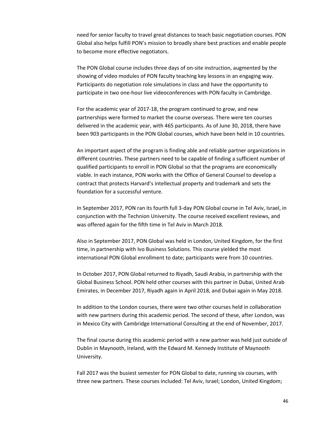need for senior faculty to travel great distances to teach basic negotiation courses. PON Global also helps fulfill PON's mission to broadly share best practices and enable people to become more effective negotiators.

The PON Global course includes three days of on‐site instruction, augmented by the showing of video modules of PON faculty teaching key lessons in an engaging way. Participants do negotiation role simulations in class and have the opportunity to participate in two one‐hour live videoconferences with PON faculty in Cambridge.

For the academic year of 2017‐18, the program continued to grow, and new partnerships were formed to market the course overseas. There were ten courses delivered in the academic year, with 465 participants. As of June 30, 2018, there have been 903 participants in the PON Global courses, which have been held in 10 countries.

An important aspect of the program is finding able and reliable partner organizations in different countries. These partners need to be capable of finding a sufficient number of qualified participants to enroll in PON Global so that the programs are economically viable. In each instance, PON works with the Office of General Counsel to develop a contract that protects Harvard's intellectual property and trademark and sets the foundation for a successful venture.

In September 2017, PON ran its fourth full 3‐day PON Global course in Tel Aviv, Israel, in conjunction with the Technion University. The course received excellent reviews, and was offered again for the fifth time in Tel Aviv in March 2018.

Also in September 2017, PON Global was held in London, United Kingdom, for the first time, in partnership with Ivo Business Solutions. This course yielded the most international PON Global enrollment to date; participants were from 10 countries.

In October 2017, PON Global returned to Riyadh, Saudi Arabia, in partnership with the Global Business School. PON held other courses with this partner in Dubai, United Arab Emirates, in December 2017, Riyadh again in April 2018, and Dubai again in May 2018.

In addition to the London courses, there were two other courses held in collaboration with new partners during this academic period. The second of these, after London, was in Mexico City with Cambridge International Consulting at the end of November, 2017.

The final course during this academic period with a new partner was held just outside of Dublin in Maynooth, Ireland, with the Edward M. Kennedy Institute of Maynooth University.

Fall 2017 was the busiest semester for PON Global to date, running six courses, with three new partners. These courses included: Tel Aviv, Israel; London, United Kingdom;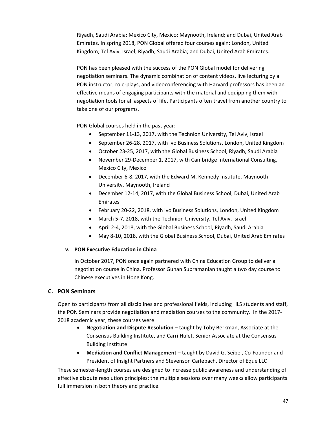Riyadh, Saudi Arabia; Mexico City, Mexico; Maynooth, Ireland; and Dubai, United Arab Emirates. In spring 2018, PON Global offered four courses again: London, United Kingdom; Tel Aviv, Israel; Riyadh, Saudi Arabia; and Dubai, United Arab Emirates.

PON has been pleased with the success of the PON Global model for delivering negotiation seminars. The dynamic combination of content videos, live lecturing by a PON instructor, role‐plays, and videoconferencing with Harvard professors has been an effective means of engaging participants with the material and equipping them with negotiation tools for all aspects of life. Participants often travel from another country to take one of our programs.

PON Global courses held in the past year:

- September 11-13, 2017, with the Technion University, Tel Aviv, Israel
- September 26-28, 2017, with Ivo Business Solutions, London, United Kingdom
- October 23‐25, 2017, with the Global Business School, Riyadh, Saudi Arabia
- November 29-December 1, 2017, with Cambridge International Consulting, Mexico City, Mexico
- December 6-8, 2017, with the Edward M. Kennedy Institute, Maynooth University, Maynooth, Ireland
- December 12‐14, 2017, with the Global Business School, Dubai, United Arab Emirates
- February 20‐22, 2018, with Ivo Business Solutions, London, United Kingdom
- March 5-7, 2018, with the Technion University, Tel Aviv, Israel
- April 2-4, 2018, with the Global Business School, Riyadh, Saudi Arabia
- May 8‐10, 2018, with the Global Business School, Dubai, United Arab Emirates

#### **v. PON Executive Education in China**

In October 2017, PON once again partnered with China Education Group to deliver a negotiation course in China. Professor Guhan Subramanian taught a two day course to Chinese executives in Hong Kong.

#### **C. PON Seminars**

Open to participants from all disciplines and professional fields, including HLS students and staff, the PON Seminars provide negotiation and mediation courses to the community. In the 2017‐ 2018 academic year, these courses were:

- **Negotiation and Dispute Resolution** taught by Toby Berkman, Associate at the Consensus Building Institute, and Carri Hulet, Senior Associate at the Consensus Building Institute
- **Mediation and Conflict Management** taught by David G. Seibel, Co‐Founder and President of Insight Partners and Stevenson Carlebach, Director of Eque LLC

These semester‐length courses are designed to increase public awareness and understanding of effective dispute resolution principles; the multiple sessions over many weeks allow participants full immersion in both theory and practice.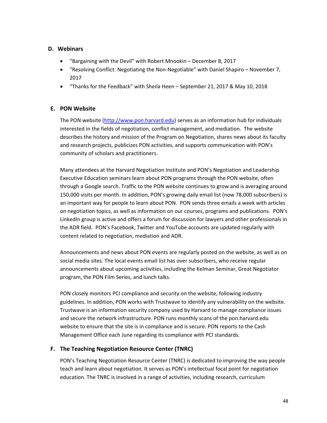#### **D. Webinars**

- "Bargaining with the Devil" with Robert Mnookin December 8, 2017
- "Resolving Conflict: Negotiating the Non‐Negotiable" with Daniel Shapiro November 7, 2017
- "Thanks for the Feedback" with Sheila Heen September 21, 2017 & May 10, 2018

#### **E. PON Website**

The PON website (http://www.pon.harvard.edu) serves as an information hub for individuals interested in the fields of negotiation, conflict management, and mediation. The website describes the history and mission of the Program on Negotiation, shares news about its faculty and research projects, publicizes PON activities, and supports communication with PON's community of scholars and practitioners.

Many attendees at the Harvard Negotiation Institute and PON's Negotiation and Leadership Executive Education seminars learn about PON programs through the PON website, often through a Google search. Traffic to the PON website continues to grow and is averaging around 150,000 visits per month. In addition, PON's growing daily email list (now 78,000 subscribers) is an important way for people to learn about PON. PON sends three emails a week with articles on negotiation topics, as well as information on our courses, programs and publications. PON's LinkedIn group is active and offers a forum for discussion for lawyers and other professionals in the ADR field. PON's Facebook, Twitter and YouTube accounts are updated regularly with content related to negotiation, mediation and ADR.

Announcements and news about PON events are regularly posted on the website, as well as on social media sites. The local events email list has over subscribers, who receive regular announcements about upcoming activities, including the Kelman Seminar, Great Negotiator program, the PON Film Series, and lunch talks.

PON closely monitors PCI compliance and security on the website, following industry guidelines. In addition, PON works with Trustwave to identify any vulnerability on the website. Trustwave is an information security company used by Harvard to manage compliance issues and secure the network infrastructure. PON runs monthly scans of the pon.harvard.edu website to ensure that the site is in compliance and is secure. PON reports to the Cash Management Office each June regarding its compliance with PCI standards.

#### **F. The Teaching Negotiation Resource Center (TNRC)**

PON's Teaching Negotiation Resource Center (TNRC) is dedicated to improving the way people teach and learn about negotiation. It serves as PON's intellectual focal point for negotiation education. The TNRC is involved in a range of activities, including research, curriculum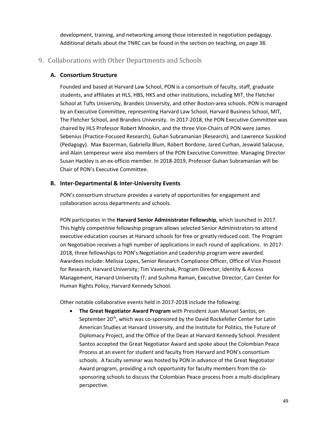development, training, and networking among those interested in negotiation pedagogy. Additional details about the TNRC can be found in the section on teaching, on page 38.

#### 9. Collaborations with Other Departments and Schools

#### **A. Consortium Structure**

Founded and based at Harvard Law School, PON is a consortium of faculty, staff, graduate students, and affiliates at HLS, HBS, HKS and other institutions, including MIT, the Fletcher School at Tufts University, Brandeis University, and other Boston‐area schools. PON is managed by an Executive Committee, representing Harvard Law School, Harvard Business School, MIT, The Fletcher School, and Brandeis University. In 2017‐2018, the PON Executive Committee was chaired by HLS Professor Robert Mnookin, and the three Vice‐Chairs of PON were James Sebenius (Practice‐Focused Research), Guhan Subramanian (Research), and Lawrence Susskind (Pedagogy). Max Bazerman, Gabriella Blum, Robert Bordone, Jared Curhan, Jeswald Salacuse, and Alain Lempereur were also members of the PON Executive Committee. Managing Director Susan Hackley is an ex‐officio member. In 2018‐2019, Professor Guhan Subramanian will be Chair of PON's Executive Committee.

#### **B. Inter‐Departmental & Inter‐University Events**

PON's consortium structure provides a variety of opportunities for engagement and collaboration across departments and schools.

PON participates in the **Harvard Senior Administrator Fellowship**, which launched in 2017. This highly competitive fellowship program allows selected Senior Administrators to attend executive education courses at Harvard schools for free or greatly reduced cost. The Program on Negotiation receives a high number of applications in each round of applications. In 2017‐ 2018, three fellowships to PON's Negotiation and Leadership program were awarded. Awardees include: Melissa Lopes, Senior Research Compliance Officer, Office of Vice Provost for Research, Harvard University; Tim Vaverchak, Program Director, Identity & Access Management, Harvard University IT; and Sushma Raman, Executive Director, Carr Center for Human Rights Policy, Harvard Kennedy School.

Other notable collaborative events held in 2017‐2018 include the following:

 **The Great Negotiator Award Program** with President Juan Manuel Santos, on September 20<sup>th</sup>, which was co-sponsored by the David Rockefeller Center for Latin American Studies at Harvard University, and the Institute for Politics, the Future of Diplomacy Project, and the Office of the Dean at Harvard Kennedy School. President Santos accepted the Great Negotiator Award and spoke about the Colombian Peace Process at an event for student and faculty from Harvard and PON's consortium schools. A faculty seminar was hosted by PON in advance of the Great Negotiator Award program, providing a rich opportunity for faculty members from the co‐ sponsoring schools to discuss the Colombian Peace process from a multi‐disciplinary perspective.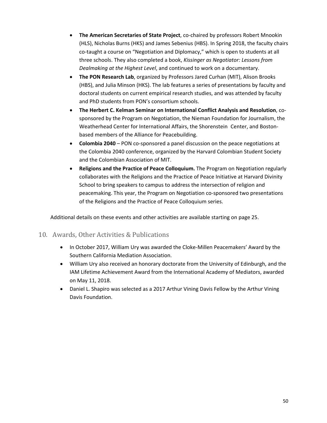- **The American Secretaries of State Project**, co‐chaired by professors Robert Mnookin (HLS), Nicholas Burns (HKS) and James Sebenius (HBS). In Spring 2018, the faculty chairs co-taught a course on "Negotiation and Diplomacy," which is open to students at all three schools. They also completed a book, *Kissinger as Negotiator: Lessons from Dealmaking at the Highest Level*, and continued to work on a documentary.
- **The PON Research Lab**, organized by Professors Jared Curhan (MIT), Alison Brooks (HBS), and Julia Minson (HKS). The lab features a series of presentations by faculty and doctoral students on current empirical research studies, and was attended by faculty and PhD students from PON's consortium schools.
- **The Herbert C. Kelman Seminar on International Conflict Analysis and Resolution**, co‐ sponsored by the Program on Negotiation, the Nieman Foundation for Journalism, the Weatherhead Center for International Affairs, the Shorenstein Center, and Boston‐ based members of the Alliance for Peacebuilding.
- **■** Colombia 2040 PON co-sponsored a panel discussion on the peace negotiations at the Colombia 2040 conference, organized by the Harvard Colombian Student Society and the Colombian Association of MIT.
- **Religions and the Practice of Peace Colloquium.** The Program on Negotiation regularly collaborates with the Religions and the Practice of Peace Initiative at Harvard Divinity School to bring speakers to campus to address the intersection of religion and peacemaking. This year, the Program on Negotiation co-sponsored two presentations of the Religions and the Practice of Peace Colloquium series.

Additional details on these events and other activities are available starting on page 25.

#### 10. Awards, Other Activities & Publications

- In October 2017, William Ury was awarded the Cloke‐Millen Peacemakers' Award by the Southern California Mediation Association.
- William Ury also received an honorary doctorate from the University of Edinburgh, and the IAM Lifetime Achievement Award from the International Academy of Mediators, awarded on May 11, 2018.
- Daniel L. Shapiro was selected as a 2017 Arthur Vining Davis Fellow by the Arthur Vining Davis Foundation.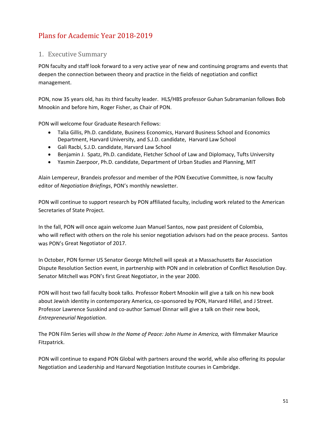# Plans for Academic Year 2018-2019

#### 1. Executive Summary

PON faculty and staff look forward to a very active year of new and continuing programs and events that deepen the connection between theory and practice in the fields of negotiation and conflict management.

PON, now 35 years old, has its third faculty leader. HLS/HBS professor Guhan Subramanian follows Bob Mnookin and before him, Roger Fisher, as Chair of PON.

PON will welcome four Graduate Research Fellows:

- Talia Gillis, Ph.D. candidate, Business Economics, Harvard Business School and Economics Department, Harvard University, and S.J.D. candidate, Harvard Law School
- Gali Racbi, S.J.D. candidate, Harvard Law School
- Benjamin J. Spatz, Ph.D. candidate, Fletcher School of Law and Diplomacy, Tufts University
- Yasmin Zaerpoor, Ph.D. candidate, Department of Urban Studies and Planning, MIT

Alain Lempereur, Brandeis professor and member of the PON Executive Committee, is now faculty editor of *Negotiation Briefings*, PON's monthly newsletter.

PON will continue to support research by PON affiliated faculty, including work related to the American Secretaries of State Project.

In the fall, PON will once again welcome Juan Manuel Santos, now past president of Colombia, who will reflect with others on the role his senior negotiation advisors had on the peace process. Santos was PON's Great Negotiator of 2017.

In October, PON former US Senator George Mitchell will speak at a Massachusetts Bar Association Dispute Resolution Section event, in partnership with PON and in celebration of Conflict Resolution Day. Senator Mitchell was PON's first Great Negotiator, in the year 2000.

PON will host two fall faculty book talks. Professor Robert Mnookin will give a talk on his new book about Jewish identity in contemporary America, co-sponsored by PON, Harvard Hillel, and J Street. Professor Lawrence Susskind and co‐author Samuel Dinnar will give a talk on their new book, *Entrepreneurial Negotiation*.

The PON Film Series will show *In the Name of Peace: John Hume in America,* with filmmaker Maurice Fitzpatrick.

PON will continue to expand PON Global with partners around the world, while also offering its popular Negotiation and Leadership and Harvard Negotiation Institute courses in Cambridge.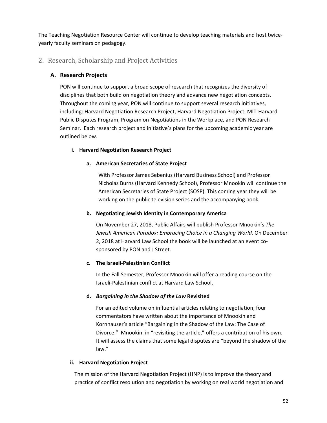The Teaching Negotiation Resource Center will continue to develop teaching materials and host twice‐ yearly faculty seminars on pedagogy.

#### 2. Research, Scholarship and Project Activities

#### **A. Research Projects**

PON will continue to support a broad scope of research that recognizes the diversity of disciplines that both build on negotiation theory and advance new negotiation concepts. Throughout the coming year, PON will continue to support several research initiatives, including: Harvard Negotiation Research Project, Harvard Negotiation Project, MIT‐Harvard Public Disputes Program, Program on Negotiations in the Workplace, and PON Research Seminar. Each research project and initiative's plans for the upcoming academic year are outlined below.

#### **i. Harvard Negotiation Research Project**

#### **a. American Secretaries of State Project**

With Professor James Sebenius (Harvard Business School) and Professor Nicholas Burns (Harvard Kennedy School), Professor Mnookin will continue the American Secretaries of State Project (SOSP). This coming year they will be working on the public television series and the accompanying book.

#### **b. Negotiating Jewish Identity in Contemporary America**

On November 27, 2018, Public Affairs will publish Professor Mnookin's *The Jewish American Paradox: Embracing Choice in a Changing World.* On December 2, 2018 at Harvard Law School the book will be launched at an event co‐ sponsored by PON and J Street.

#### **c. The Israeli‐Palestinian Conflict**

In the Fall Semester, Professor Mnookin will offer a reading course on the Israeli‐Palestinian conflict at Harvard Law School.

#### **d.** *Bargaining in the Shadow of the Law* **Revisited**

For an edited volume on influential articles relating to negotiation, four commentators have written about the importance of Mnookin and Kornhauser's article "Bargaining in the Shadow of the Law: The Case of Divorce." Mnookin, in "revisiting the article," offers a contribution of his own. It will assess the claims that some legal disputes are "beyond the shadow of the law."

#### **ii. Harvard Negotiation Project**

The mission of the Harvard Negotiation Project (HNP) is to improve the theory and practice of conflict resolution and negotiation by working on real world negotiation and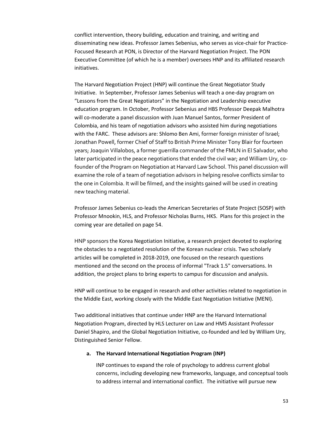conflict intervention, theory building, education and training, and writing and disseminating new ideas. Professor James Sebenius, who serves as vice‐chair for Practice‐ Focused Research at PON, is Director of the Harvard Negotiation Project. The PON Executive Committee (of which he is a member) oversees HNP and its affiliated research initiatives.

The Harvard Negotiation Project (HNP) will continue the Great Negotiator Study Initiative. In September, Professor James Sebenius will teach a one‐day program on "Lessons from the Great Negotiators" in the Negotiation and Leadership executive education program. In October, Professor Sebenius and HBS Professor Deepak Malhotra will co-moderate a panel discussion with Juan Manuel Santos, former President of Colombia, and his team of negotiation advisors who assisted him during negotiations with the FARC. These advisors are: Shlomo Ben Ami, former foreign minister of Israel; Jonathan Powell, former Chief of Staff to British Prime Minister Tony Blair for fourteen years; Joaquin Villalobos, a former guerrilla commander of the FMLN in El Salvador, who later participated in the peace negotiations that ended the civil war; and William Ury, cofounder of the Program on Negotiation at Harvard Law School. This panel discussion will examine the role of a team of negotiation advisors in helping resolve conflicts similar to the one in Colombia. It will be filmed, and the insights gained will be used in creating new teaching material.

Professor James Sebenius co‐leads the American Secretaries of State Project (SOSP) with Professor Mnookin, HLS, and Professor Nicholas Burns, HKS. Plans for this project in the coming year are detailed on page 54.

HNP sponsors the Korea Negotiation Initiative, a research project devoted to exploring the obstacles to a negotiated resolution of the Korean nuclear crisis. Two scholarly articles will be completed in 2018‐2019, one focused on the research questions mentioned and the second on the process of informal "Track 1.5" conversations. In addition, the project plans to bring experts to campus for discussion and analysis.

HNP will continue to be engaged in research and other activities related to negotiation in the Middle East, working closely with the Middle East Negotiation Initiative (MENI).

Two additional initiatives that continue under HNP are the Harvard International Negotiation Program, directed by HLS Lecturer on Law and HMS Assistant Professor Daniel Shapiro, and the Global Negotiation Initiative, co-founded and led by William Ury, Distinguished Senior Fellow.

#### **a. The Harvard International Negotiation Program (INP)**

INP continues to expand the role of psychology to address current global concerns, including developing new frameworks, language, and conceptual tools to address internal and international conflict. The initiative will pursue new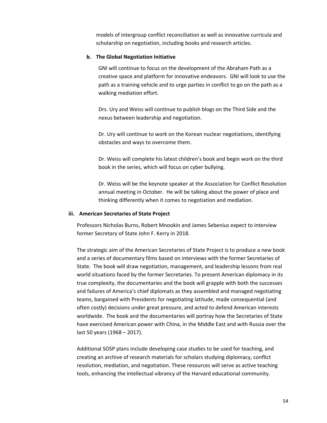models of intergroup conflict reconciliation as well as innovative curricula and scholarship on negotiation, including books and research articles.

#### **b. The Global Negotiation Initiative**

GNI will continue to focus on the development of the Abraham Path as a creative space and platform for innovative endeavors. GNI will look to use the path as a training vehicle and to urge parties in conflict to go on the path as a walking mediation effort.

Drs. Ury and Weiss will continue to publish blogs on the Third Side and the nexus between leadership and negotiation.

Dr. Ury will continue to work on the Korean nuclear negotiations, identifying obstacles and ways to overcome them.

Dr. Weiss will complete his latest children's book and begin work on the third book in the series, which will focus on cyber bullying.

Dr. Weiss will be the keynote speaker at the Association for Conflict Resolution annual meeting in October. He will be talking about the power of place and thinking differently when it comes to negotiation and mediation.

#### **iii. American Secretaries of State Project**

Professors Nicholas Burns, Robert Mnookin and James Sebenius expect to interview former Secretary of State John F. Kerry in 2018.

The strategic aim of the American Secretaries of State Project is to produce a new book and a series of documentary films based on interviews with the former Secretaries of State. The book will draw negotiation, management, and leadership lessons from real world situations faced by the former Secretaries. To present American diplomacy in its true complexity, the documentaries and the book will grapple with both the successes and failures of America's chief diplomats as they assembled and managed negotiating teams, bargained with Presidents for negotiating latitude, made consequential (and often costly) decisions under great pressure, and acted to defend American interests worldwide. The book and the documentaries will portray how the Secretaries of State have exercised American power with China, in the Middle East and with Russia over the last 50 years (1968 – 2017).

Additional SOSP plans include developing case studies to be used for teaching, and creating an archive of research materials for scholars studying diplomacy, conflict resolution, mediation, and negotiation. These resources will serve as active teaching tools, enhancing the intellectual vibrancy of the Harvard educational community.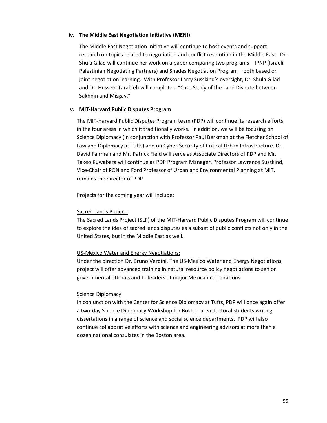#### **iv. The Middle East Negotiation Initiative (MENI)**

The Middle East Negotiation Initiative will continue to host events and support research on topics related to negotiation and conflict resolution in the Middle East. Dr. Shula Gilad will continue her work on a paper comparing two programs – IPNP (Israeli Palestinian Negotiating Partners) and Shades Negotiation Program – both based on joint negotiation learning. With Professor Larry Susskind's oversight, Dr. Shula Gilad and Dr. Hussein Tarabieh will complete a "Case Study of the Land Dispute between Sakhnin and Misgav."

#### **v. MIT‐Harvard Public Disputes Program**

The MIT‐Harvard Public Disputes Program team (PDP) will continue its research efforts in the four areas in which it traditionally works. In addition, we will be focusing on Science Diplomacy (in conjunction with Professor Paul Berkman at the Fletcher School of Law and Diplomacy at Tufts) and on Cyber‐Security of Critical Urban Infrastructure. Dr. David Fairman and Mr. Patrick Field will serve as Associate Directors of PDP and Mr. Takeo Kuwabara will continue as PDP Program Manager. Professor Lawrence Susskind, Vice‐Chair of PON and Ford Professor of Urban and Environmental Planning at MIT, remains the director of PDP.

Projects for the coming year will include:

#### Sacred Lands Project:

The Sacred Lands Project (SLP) of the MIT‐Harvard Public Disputes Program will continue to explore the idea of sacred lands disputes as a subset of public conflicts not only in the United States, but in the Middle East as well.

#### US‐Mexico Water and Energy Negotiations:

Under the direction Dr. Bruno Verdini, The US‐Mexico Water and Energy Negotiations project will offer advanced training in natural resource policy negotiations to senior governmental officials and to leaders of major Mexican corporations.

#### Science Diplomacy

In conjunction with the Center for Science Diplomacy at Tufts, PDP will once again offer a two‐day Science Diplomacy Workshop for Boston‐area doctoral students writing dissertations in a range of science and social science departments. PDP will also continue collaborative efforts with science and engineering advisors at more than a dozen national consulates in the Boston area.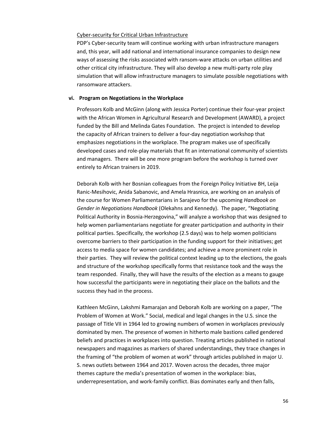#### Cyber‐security for Critical Urban Infrastructure

PDP's Cyber‐security team will continue working with urban infrastructure managers and, this year, will add national and international insurance companies to design new ways of assessing the risks associated with ransom-ware attacks on urban utilities and other critical city infrastructure. They will also develop a new multi‐party role play simulation that will allow infrastructure managers to simulate possible negotiations with ransomware attackers.

#### **vi. Program on Negotiations in the Workplace**

Professors Kolb and McGinn (along with Jessica Porter) continue their four‐year project with the African Women in Agricultural Research and Development (AWARD), a project funded by the Bill and Melinda Gates Foundation. The project is intended to develop the capacity of African trainers to deliver a four‐day negotiation workshop that emphasizes negotiations in the workplace. The program makes use of specifically developed cases and role‐play materials that fit an international community of scientists and managers. There will be one more program before the workshop is turned over entirely to African trainers in 2019.

Deborah Kolb with her Bosnian colleagues from the Foreign Policy Initiative BH, Leija Ranic‐Mesihovic, Anida Sabanovic, and Amela Hrasnica, are working on an analysis of the course for Women Parliamentarians in Sarajevo for the upcoming *Handbook on Gender in Negotiations Handbook* (Olekahns and Kennedy). The paper, "Negotiating Political Authority in Bosnia‐Herzegovina," will analyze a workshop that was designed to help women parliamentarians negotiate for greater participation and authority in their political parties. Specifically, the workshop (2.5 days) was to help women politicians overcome barriers to their participation in the funding support for their initiatives; get access to media space for women candidates; and achieve a more prominent role in their parties. They will review the political context leading up to the elections, the goals and structure of the workshop specifically forms that resistance took and the ways the team responded. Finally, they will have the results of the election as a means to gauge how successful the participants were in negotiating their place on the ballots and the success they had in the process.

Kathleen McGinn, Lakshmi Ramarajan and Deborah Kolb are working on a paper, "The Problem of Women at Work." Social, medical and legal changes in the U.S. since the passage of Title VII in 1964 led to growing numbers of women in workplaces previously dominated by men. The presence of women in hitherto male bastions called gendered beliefs and practices in workplaces into question. Treating articles published in national newspapers and magazines as markers of shared understandings, they trace changes in the framing of "the problem of women at work" through articles published in major U. S. news outlets between 1964 and 2017. Woven across the decades, three major themes capture the media's presentation of women in the workplace: bias, underrepresentation, and work‐family conflict. Bias dominates early and then falls,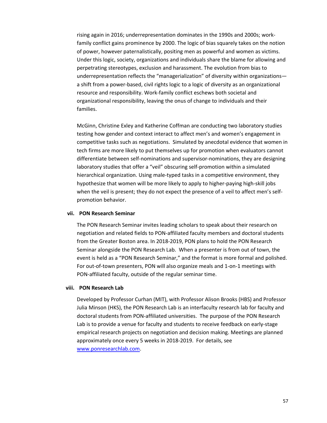rising again in 2016; underrepresentation dominates in the 1990s and 2000s; work‐ family conflict gains prominence by 2000. The logic of bias squarely takes on the notion of power, however paternalistically, positing men as powerful and women as victims. Under this logic, society, organizations and individuals share the blame for allowing and perpetrating stereotypes, exclusion and harassment. The evolution from bias to underrepresentation reflects the "managerialization" of diversity within organizations a shift from a power‐based, civil rights logic to a logic of diversity as an organizational resource and responsibility. Work‐family conflict eschews both societal and organizational responsibility, leaving the onus of change to individuals and their families.

McGinn, Christine Exley and Katherine Coffman are conducting two laboratory studies testing how gender and context interact to affect men's and women's engagement in competitive tasks such as negotiations. Simulated by anecdotal evidence that women in tech firms are more likely to put themselves up for promotion when evaluators cannot differentiate between self‐nominations and supervisor‐nominations, they are designing laboratory studies that offer a "veil" obscuring self‐promotion within a simulated hierarchical organization. Using male‐typed tasks in a competitive environment, they hypothesize that women will be more likely to apply to higher‐paying high‐skill jobs when the veil is present; they do not expect the presence of a veil to affect men's selfpromotion behavior.

#### **vii. PON Research Seminar**

The PON Research Seminar invites leading scholars to speak about their research on negotiation and related fields to PON‐affiliated faculty members and doctoral students from the Greater Boston area. In 2018‐2019, PON plans to hold the PON Research Seminar alongside the PON Research Lab. When a presenter is from out of town, the event is held as a "PON Research Seminar," and the format is more formal and polished. For out-of-town presenters, PON will also organize meals and 1-on-1 meetings with PON‐affiliated faculty, outside of the regular seminar time.

#### **viii. PON Research Lab**

Developed by Professor Curhan (MIT), with Professor Alison Brooks (HBS) and Professor Julia Minson (HKS), the PON Research Lab is an interfaculty research lab for faculty and doctoral students from PON‐affiliated universities. The purpose of the PON Research Lab is to provide a venue for faculty and students to receive feedback on early‐stage empirical research projects on negotiation and decision making. Meetings are planned approximately once every 5 weeks in 2018‐2019. For details, see www.ponresearchlab.com.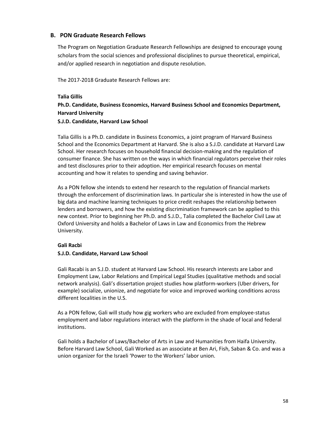#### **B. PON Graduate Research Fellows**

The Program on Negotiation Graduate Research Fellowships are designed to encourage young scholars from the social sciences and professional disciplines to pursue theoretical, empirical, and/or applied research in negotiation and dispute resolution.

The 2017‐2018 Graduate Research Fellows are:

#### **Talia Gillis**

## **Ph.D. Candidate, Business Economics, Harvard Business School and Economics Department, Harvard University**

#### **S.J.D. Candidate, Harvard Law School**

Talia Gillis is a Ph.D. candidate in Business Economics, a joint program of Harvard Business School and the Economics Department at Harvard. She is also a S.J.D. candidate at Harvard Law School. Her research focuses on household financial decision‐making and the regulation of consumer finance. She has written on the ways in which financial regulators perceive their roles and test disclosures prior to their adoption. Her empirical research focuses on mental accounting and how it relates to spending and saving behavior.

As a PON fellow she intends to extend her research to the regulation of financial markets through the enforcement of discrimination laws. In particular she is interested in how the use of big data and machine learning techniques to price credit reshapes the relationship between lenders and borrowers, and how the existing discrimination framework can be applied to this new context. Prior to beginning her Ph.D. and S.J.D., Talia completed the Bachelor Civil Law at Oxford University and holds a Bachelor of Laws in Law and Economics from the Hebrew University.

#### **Gali Racbi**

#### **S.J.D. Candidate, Harvard Law School**

Gali Racabi is an S.J.D. student at Harvard Law School. His research interests are Labor and Employment Law, Labor Relations and Empirical Legal Studies (qualitative methods and social network analysis). Gali's dissertation project studies how platform‐workers (Uber drivers, for example) socialize, unionize, and negotiate for voice and improved working conditions across different localities in the U.S.

As a PON fellow, Gali will study how gig workers who are excluded from employee‐status employment and labor regulations interact with the platform in the shade of local and federal institutions.

Gali holds a Bachelor of Laws/Bachelor of Arts in Law and Humanities from Haifa University. Before Harvard Law School, Gali Worked as an associate at Ben Ari, Fish, Saban & Co. and was a union organizer for the Israeli 'Power to the Workers' labor union.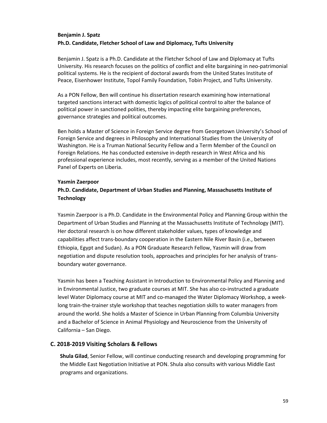#### **Benjamin J. Spatz Ph.D. Candidate, Fletcher School of Law and Diplomacy, Tufts University**

Benjamin J. Spatz is a Ph.D. Candidate at the Fletcher School of Law and Diplomacy at Tufts University. His research focuses on the politics of conflict and elite bargaining in neo‐patrimonial political systems. He is the recipient of doctoral awards from the United States Institute of Peace, Eisenhower Institute, Topol Family Foundation, Tobin Project, and Tufts University.

As a PON Fellow, Ben will continue his dissertation research examining how international targeted sanctions interact with domestic logics of political control to alter the balance of political power in sanctioned polities, thereby impacting elite bargaining preferences, governance strategies and political outcomes.

Ben holds a Master of Science in Foreign Service degree from Georgetown University's School of Foreign Service and degrees in Philosophy and International Studies from the University of Washington. He is a Truman National Security Fellow and a Term Member of the Council on Foreign Relations. He has conducted extensive in‐depth research in West Africa and his professional experience includes, most recently, serving as a member of the United Nations Panel of Experts on Liberia.

#### **Yasmin Zaerpoor**

#### **Ph.D. Candidate, Department of Urban Studies and Planning, Massachusetts Institute of Technology**

Yasmin Zaerpoor is a Ph.D. Candidate in the Environmental Policy and Planning Group within the Department of Urban Studies and Planning at the Massachusetts Institute of Technology (MIT). Her doctoral research is on how different stakeholder values, types of knowledge and capabilities affect trans‐boundary cooperation in the Eastern Nile River Basin (i.e., between Ethiopia, Egypt and Sudan). As a PON Graduate Research Fellow, Yasmin will draw from negotiation and dispute resolution tools, approaches and principles for her analysis of trans‐ boundary water governance.

Yasmin has been a Teaching Assistant in Introduction to Environmental Policy and Planning and in Environmental Justice, two graduate courses at MIT. She has also co-instructed a graduate level Water Diplomacy course at MIT and co-managed the Water Diplomacy Workshop, a weeklong train-the-trainer style workshop that teaches negotiation skills to water managers from around the world. She holds a Master of Science in Urban Planning from Columbia University and a Bachelor of Science in Animal Physiology and Neuroscience from the University of California – San Diego.

#### **C. 2018‐2019 Visiting Scholars & Fellows**

**Shula Gilad**, Senior Fellow, will continue conducting research and developing programming for the Middle East Negotiation Initiative at PON. Shula also consults with various Middle East programs and organizations.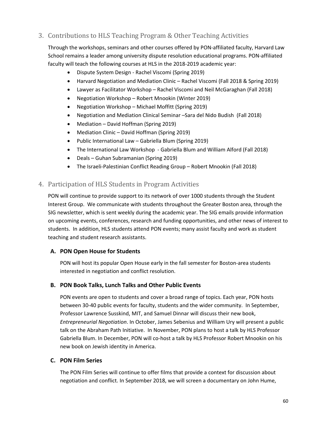#### 3. Contributions to HLS Teaching Program & Other Teaching Activities

Through the workshops, seminars and other courses offered by PON‐affiliated faculty, Harvard Law School remains a leader among university dispute resolution educational programs. PON‐affiliated faculty will teach the following courses at HLS in the 2018-2019 academic year:

- Dispute System Design ‐ Rachel Viscomi (Spring 2019)
- Harvard Negotiation and Mediation Clinic Rachel Viscomi (Fall 2018 & Spring 2019)
- Lawyer as Facilitator Workshop Rachel Viscomi and Neil McGaraghan (Fall 2018)
- Negotiation Workshop Robert Mnookin (Winter 2019)
- Negotiation Workshop Michael Moffitt (Spring 2019)
- Negotiation and Mediation Clinical Seminar –Sara del Nido Budish (Fall 2018)
- Mediation David Hoffman (Spring 2019)
- Mediation Clinic David Hoffman (Spring 2019)
- Public International Law Gabriella Blum (Spring 2019)
- The International Law Workshop ‐ Gabriella Blum and William Alford (Fall 2018)
- Deals Guhan Subramanian (Spring 2019)
- The Israeli‐Palestinian Conflict Reading Group Robert Mnookin (Fall 2018)

#### 4. Participation of HLS Students in Program Activities

PON will continue to provide support to its network of over 1000 students through the Student Interest Group. We communicate with students throughout the Greater Boston area, through the SIG newsletter, which is sent weekly during the academic year. The SIG emails provide information on upcoming events, conferences, research and funding opportunities, and other news of interest to students. In addition, HLS students attend PON events; many assist faculty and work as student teaching and student research assistants.

#### **A. PON Open House for Students**

PON will host its popular Open House early in the fall semester for Boston‐area students interested in negotiation and conflict resolution.

#### **B. PON Book Talks, Lunch Talks and Other Public Events**

PON events are open to students and cover a broad range of topics. Each year, PON hosts between 30‐40 public events for faculty, students and the wider community. In September, Professor Lawrence Susskind, MIT, and Samuel Dinnar will discuss their new book, *Entrepreneurial Negotiation*. In October, James Sebenius and William Ury will present a public talk on the Abraham Path Initiative. In November, PON plans to host a talk by HLS Professor Gabriella Blum. In December, PON will co‐host a talk by HLS Professor Robert Mnookin on his new book on Jewish identity in America.

#### **C. PON Film Series**

The PON Film Series will continue to offer films that provide a context for discussion about negotiation and conflict. In September 2018, we will screen a documentary on John Hume,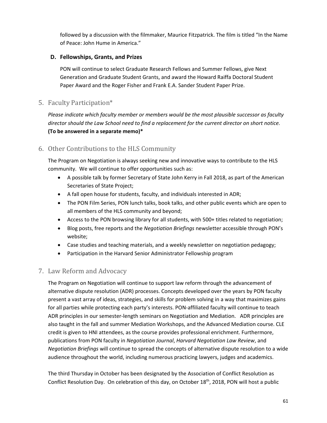followed by a discussion with the filmmaker, Maurice Fitzpatrick. The film is titled "In the Name of Peace: John Hume in America."

#### **D. Fellowships, Grants, and Prizes**

PON will continue to select Graduate Research Fellows and Summer Fellows, give Next Generation and Graduate Student Grants, and award the Howard Raiffa Doctoral Student Paper Award and the Roger Fisher and Frank E.A. Sander Student Paper Prize.

#### 5. Faculty Participation\*

*Please indicate which faculty member or members would be the most plausible successor as faculty director should the Law School need to find a replacement for the current director on short notice.* **(To be answered in a separate memo)\***

#### 6. Other Contributions to the HLS Community

The Program on Negotiation is always seeking new and innovative ways to contribute to the HLS community. We will continue to offer opportunities such as:

- A possible talk by former Secretary of State John Kerry in Fall 2018, as part of the American Secretaries of State Project;
- A fall open house for students, faculty, and individuals interested in ADR;
- The PON Film Series, PON lunch talks, book talks, and other public events which are open to all members of the HLS community and beyond;
- Access to the PON browsing library for all students, with 500+ titles related to negotiation;
- Blog posts, free reports and the *Negotiation Briefings* newsletter accessible through PON's website;
- Case studies and teaching materials, and a weekly newsletter on negotiation pedagogy;
- Participation in the Harvard Senior Administrator Fellowship program

#### 7. Law Reform and Advocacy

The Program on Negotiation will continue to support law reform through the advancement of alternative dispute resolution (ADR) processes. Concepts developed over the years by PON faculty present a vast array of ideas, strategies, and skills for problem solving in a way that maximizes gains for all parties while protecting each party's interests. PON-affiliated faculty will continue to teach ADR principles in our semester‐length seminars on Negotiation and Mediation. ADR principles are also taught in the fall and summer Mediation Workshops, and the Advanced Mediation course. CLE credit is given to HNI attendees, as the course provides professional enrichment. Furthermore, publications from PON faculty in *Negotiation Journal*, *Harvard Negotiation Law Review*, and *Negotiation Briefings* will continue to spread the concepts of alternative dispute resolution to a wide audience throughout the world, including numerous practicing lawyers, judges and academics.

The third Thursday in October has been designated by the Association of Conflict Resolution as Conflict Resolution Day. On celebration of this day, on October 18<sup>th</sup>, 2018, PON will host a public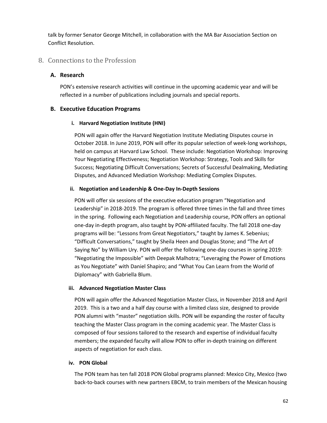talk by former Senator George Mitchell, in collaboration with the MA Bar Association Section on Conflict Resolution.

#### 8. Connections to the Profession

#### **A. Research**

PON's extensive research activities will continue in the upcoming academic year and will be reflected in a number of publications including journals and special reports.

#### **B. Executive Education Programs**

#### **i. Harvard Negotiation Institute (HNI)**

PON will again offer the Harvard Negotiation Institute Mediating Disputes course in October 2018. In June 2019, PON will offer its popular selection of week‐long workshops, held on campus at Harvard Law School. These include: Negotiation Workshop: Improving Your Negotiating Effectiveness; Negotiation Workshop: Strategy, Tools and Skills for Success; Negotiating Difficult Conversations; Secrets of Successful Dealmaking, Mediating Disputes, and Advanced Mediation Workshop: Mediating Complex Disputes.

#### **ii. Negotiation and Leadership & One‐Day In‐Depth Sessions**

PON will offer six sessions of the executive education program "Negotiation and Leadership" in 2018‐2019. The program is offered three times in the fall and three times in the spring. Following each Negotiation and Leadership course, PON offers an optional one‐day in‐depth program, also taught by PON‐affiliated faculty. The fall 2018 one‐day programs will be: "Lessons from Great Negotiators," taught by James K. Sebenius; "Difficult Conversations," taught by Sheila Heen and Douglas Stone; and "The Art of Saying No" by William Ury. PON will offer the following one‐day courses in spring 2019: "Negotiating the Impossible" with Deepak Malhotra; "Leveraging the Power of Emotions as You Negotiate" with Daniel Shapiro; and "What You Can Learn from the World of Diplomacy" with Gabriella Blum.

#### **iii. Advanced Negotiation Master Class**

PON will again offer the Advanced Negotiation Master Class, in November 2018 and April 2019. This is a two and a half day course with a limited class size, designed to provide PON alumni with "master" negotiation skills. PON will be expanding the roster of faculty teaching the Master Class program in the coming academic year. The Master Class is composed of four sessions tailored to the research and expertise of individual faculty members; the expanded faculty will allow PON to offer in-depth training on different aspects of negotiation for each class.

#### **iv. PON Global**

The PON team has ten fall 2018 PON Global programs planned: Mexico City, Mexico (two back-to-back courses with new partners EBCM, to train members of the Mexican housing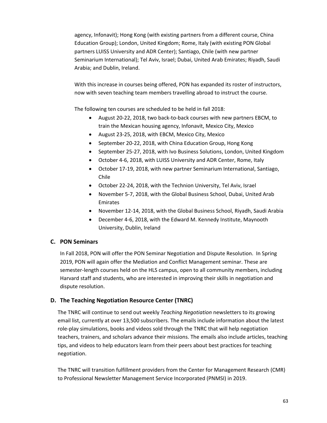agency, Infonavit); Hong Kong (with existing partners from a different course, China Education Group); London, United Kingdom; Rome, Italy (with existing PON Global partners LUISS University and ADR Center); Santiago, Chile (with new partner Seminarium International); Tel Aviv, Israel; Dubai, United Arab Emirates; Riyadh, Saudi Arabia; and Dublin, Ireland.

With this increase in courses being offered, PON has expanded its roster of instructors, now with seven teaching team members travelling abroad to instruct the course.

The following ten courses are scheduled to be held in fall 2018:

- August 20-22, 2018, two back-to-back courses with new partners EBCM, to train the Mexican housing agency, Infonavit, Mexico City, Mexico
- August 23-25, 2018, with EBCM, Mexico City, Mexico
- September 20-22, 2018, with China Education Group, Hong Kong
- September 25-27, 2018, with Ivo Business Solutions, London, United Kingdom
- October 4-6, 2018, with LUISS University and ADR Center, Rome, Italy
- October 17‐19, 2018, with new partner Seminarium International, Santiago, Chile
- October 22-24, 2018, with the Technion University, Tel Aviv, Israel
- November 5‐7, 2018, with the Global Business School, Dubai, United Arab Emirates
- November 12‐14, 2018, with the Global Business School, Riyadh, Saudi Arabia
- December 4‐6, 2018, with the Edward M. Kennedy Institute, Maynooth University, Dublin, Ireland

#### **C. PON Seminars**

In Fall 2018, PON will offer the PON Seminar Negotiation and Dispute Resolution. In Spring 2019, PON will again offer the Mediation and Conflict Management seminar. These are semester-length courses held on the HLS campus, open to all community members, including Harvard staff and students, who are interested in improving their skills in negotiation and dispute resolution.

#### **D. The Teaching Negotiation Resource Center (TNRC)**

The TNRC will continue to send out weekly *Teaching Negotiation* newsletters to its growing email list, currently at over 13,500 subscribers. The emails include information about the latest role‐play simulations, books and videos sold through the TNRC that will help negotiation teachers, trainers, and scholars advance their missions. The emails also include articles, teaching tips, and videos to help educators learn from their peers about best practices for teaching negotiation.

The TNRC will transition fulfillment providers from the Center for Management Research (CMR) to Professional Newsletter Management Service Incorporated (PNMSI) in 2019.